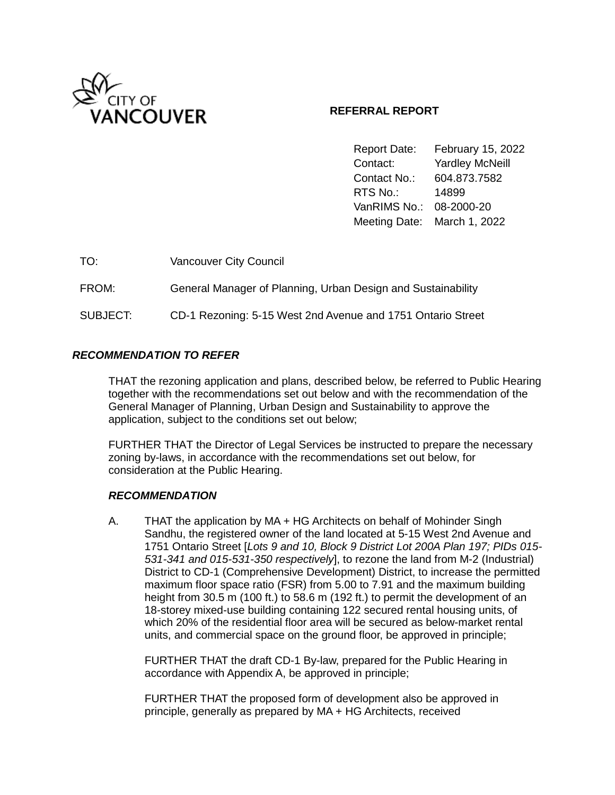

# **REFERRAL REPORT**

Report Date: February 15, 2022 Contact: Yardley McNeill Contact No.: 604.873.7582 RTS No.: 14899 VanRIMS No.: 08-2000-20 Meeting Date: March 1, 2022

| TO:      | <b>Vancouver City Council</b>                                |
|----------|--------------------------------------------------------------|
| FROM:    | General Manager of Planning, Urban Design and Sustainability |
| SUBJECT: | CD-1 Rezoning: 5-15 West 2nd Avenue and 1751 Ontario Street  |

# *RECOMMENDATION TO REFER*

THAT the rezoning application and plans, described below, be referred to Public Hearing together with the recommendations set out below and with the recommendation of the General Manager of Planning, Urban Design and Sustainability to approve the application, subject to the conditions set out below;

FURTHER THAT the Director of Legal Services be instructed to prepare the necessary zoning by-laws, in accordance with the recommendations set out below, for consideration at the Public Hearing.

### *RECOMMENDATION*

A. THAT the application by MA + HG Architects on behalf of Mohinder Singh Sandhu, the registered owner of the land located at 5-15 West 2nd Avenue and 1751 Ontario Street [*Lots 9 and 10, Block 9 District Lot 200A Plan 197; PIDs 015- 531-341 and 015-531-350 respectively*], to rezone the land from M-2 (Industrial) District to CD-1 (Comprehensive Development) District, to increase the permitted maximum floor space ratio (FSR) from 5.00 to 7.91 and the maximum building height from 30.5 m (100 ft.) to 58.6 m (192 ft.) to permit the development of an 18-storey mixed-use building containing 122 secured rental housing units, of which 20% of the residential floor area will be secured as below-market rental units, and commercial space on the ground floor, be approved in principle;

FURTHER THAT the draft CD-1 By-law, prepared for the Public Hearing in accordance with Appendix A, be approved in principle;

FURTHER THAT the proposed form of development also be approved in principle, generally as prepared by MA + HG Architects, received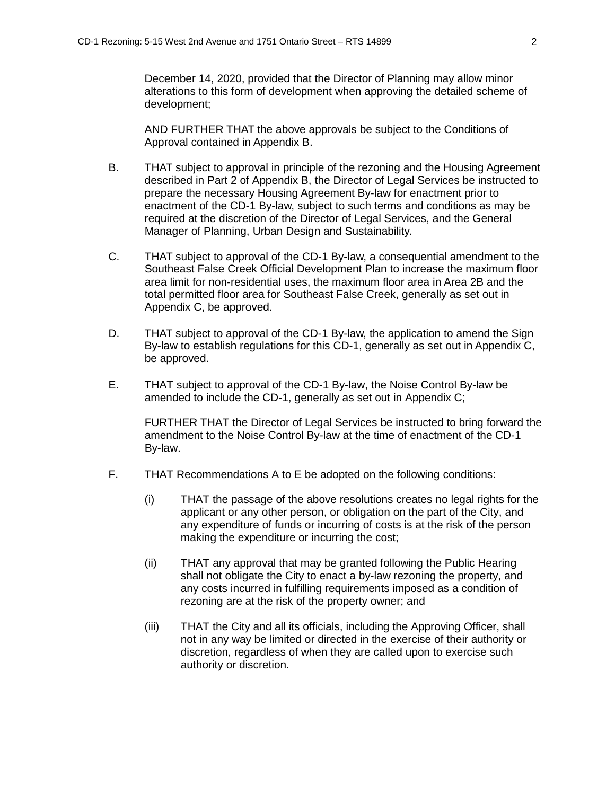December 14, 2020, provided that the Director of Planning may allow minor alterations to this form of development when approving the detailed scheme of development;

AND FURTHER THAT the above approvals be subject to the Conditions of Approval contained in Appendix B.

- B. THAT subject to approval in principle of the rezoning and the Housing Agreement described in Part 2 of Appendix B, the Director of Legal Services be instructed to prepare the necessary Housing Agreement By-law for enactment prior to enactment of the CD-1 By-law, subject to such terms and conditions as may be required at the discretion of the Director of Legal Services, and the General Manager of Planning, Urban Design and Sustainability.
- C. THAT subject to approval of the CD-1 By-law, a consequential amendment to the Southeast False Creek Official Development Plan to increase the maximum floor area limit for non-residential uses, the maximum floor area in Area 2B and the total permitted floor area for Southeast False Creek, generally as set out in Appendix C, be approved.
- D. THAT subject to approval of the CD-1 By-law, the application to amend the Sign By-law to establish regulations for this CD-1, generally as set out in Appendix C, be approved.
- E. THAT subject to approval of the CD-1 By-law, the Noise Control By-law be amended to include the CD-1, generally as set out in Appendix C;

FURTHER THAT the Director of Legal Services be instructed to bring forward the amendment to the Noise Control By-law at the time of enactment of the CD-1 By-law.

- F. THAT Recommendations A to E be adopted on the following conditions:
	- (i) THAT the passage of the above resolutions creates no legal rights for the applicant or any other person, or obligation on the part of the City, and any expenditure of funds or incurring of costs is at the risk of the person making the expenditure or incurring the cost;
	- (ii) THAT any approval that may be granted following the Public Hearing shall not obligate the City to enact a by-law rezoning the property, and any costs incurred in fulfilling requirements imposed as a condition of rezoning are at the risk of the property owner; and
	- (iii) THAT the City and all its officials, including the Approving Officer, shall not in any way be limited or directed in the exercise of their authority or discretion, regardless of when they are called upon to exercise such authority or discretion.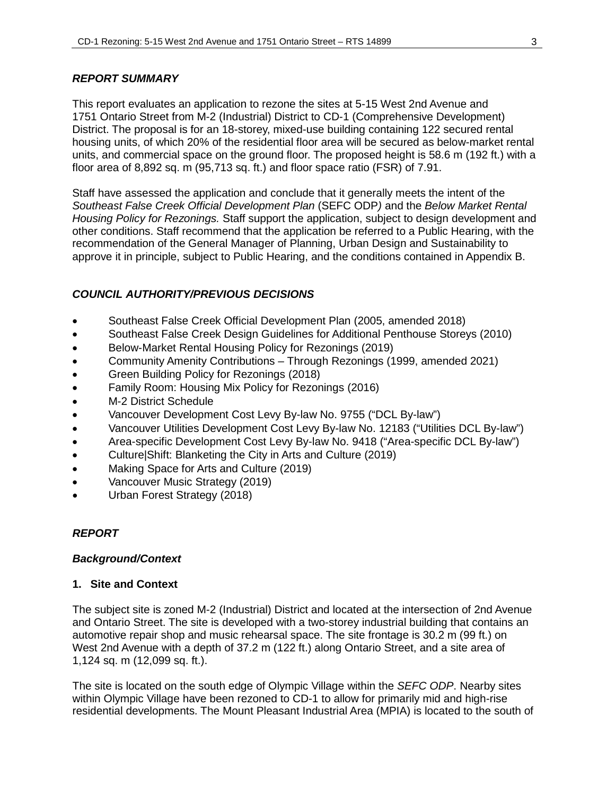### *REPORT SUMMARY*

This report evaluates an application to rezone the sites at 5-15 West 2nd Avenue and 1751 Ontario Street from M-2 (Industrial) District to CD-1 (Comprehensive Development) District. The proposal is for an 18-storey, mixed-use building containing 122 secured rental housing units, of which 20% of the residential floor area will be secured as below-market rental units, and commercial space on the ground floor. The proposed height is 58.6 m (192 ft.) with a floor area of 8,892 sq. m (95,713 sq. ft.) and floor space ratio (FSR) of 7.91.

Staff have assessed the application and conclude that it generally meets the intent of the *Southeast False Creek Official Development Plan* (SEFC ODP*)* and the *Below Market Rental Housing Policy for Rezonings.* Staff support the application, subject to design development and other conditions. Staff recommend that the application be referred to a Public Hearing, with the recommendation of the General Manager of Planning, Urban Design and Sustainability to approve it in principle, subject to Public Hearing, and the conditions contained in Appendix B.

# *COUNCIL AUTHORITY/PREVIOUS DECISIONS*

- Southeast False Creek Official Development Plan (2005, amended 2018)
- Southeast False Creek Design Guidelines for Additional Penthouse Storeys (2010)
- Below-Market Rental Housing Policy for Rezonings (2019)
- Community Amenity Contributions Through Rezonings (1999, amended 2021)
- Green Building Policy for Rezonings (2018)
- Family Room: Housing Mix Policy for Rezonings (2016)
- M-2 District Schedule
- Vancouver Development Cost Levy By-law No. 9755 ("DCL By-law")
- Vancouver Utilities Development Cost Levy By-law No. 12183 ("Utilities DCL By-law")
- Area-specific Development Cost Levy By-law No. 9418 ("Area-specific DCL By-law")
- Culture|Shift: Blanketing the City in Arts and Culture (2019)
- Making Space for Arts and Culture (2019)
- Vancouver Music Strategy (2019)
- Urban Forest Strategy (2018)

# *REPORT*

### *Background/Context*

### **1. Site and Context**

The subject site is zoned M-2 (Industrial) District and located at the intersection of 2nd Avenue and Ontario Street. The site is developed with a two-storey industrial building that contains an automotive repair shop and music rehearsal space. The site frontage is 30.2 m (99 ft.) on West 2nd Avenue with a depth of 37.2 m (122 ft.) along Ontario Street, and a site area of 1,124 sq. m (12,099 sq. ft.).

The site is located on the south edge of Olympic Village within the *SEFC ODP*. Nearby sites within Olympic Village have been rezoned to CD-1 to allow for primarily mid and high-rise residential developments. The Mount Pleasant Industrial Area (MPIA) is located to the south of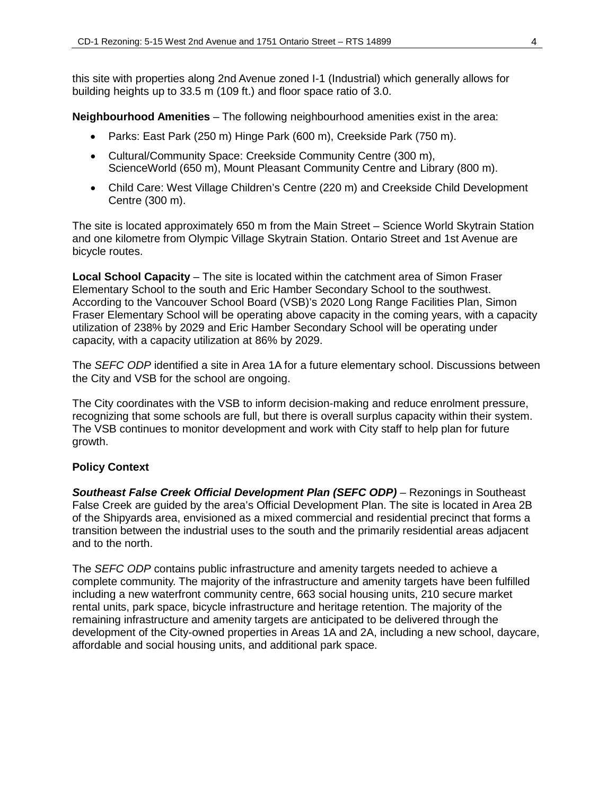this site with properties along 2nd Avenue zoned I-1 (Industrial) which generally allows for building heights up to 33.5 m (109 ft.) and floor space ratio of 3.0.

**Neighbourhood Amenities** – The following neighbourhood amenities exist in the area:

- Parks: East Park (250 m) Hinge Park (600 m), Creekside Park (750 m).
- Cultural/Community Space: Creekside Community Centre (300 m), ScienceWorld (650 m), Mount Pleasant Community Centre and Library (800 m).
- Child Care: West Village Children's Centre (220 m) and Creekside Child Development Centre (300 m).

The site is located approximately 650 m from the Main Street – Science World Skytrain Station and one kilometre from Olympic Village Skytrain Station. Ontario Street and 1st Avenue are bicycle routes.

**Local School Capacity** – The site is located within the catchment area of Simon Fraser Elementary School to the south and Eric Hamber Secondary School to the southwest. According to the Vancouver School Board (VSB)'s 2020 Long Range Facilities Plan, Simon Fraser Elementary School will be operating above capacity in the coming years, with a capacity utilization of 238% by 2029 and Eric Hamber Secondary School will be operating under capacity, with a capacity utilization at 86% by 2029.

The *SEFC ODP* identified a site in Area 1A for a future elementary school. Discussions between the City and VSB for the school are ongoing.

The City coordinates with the VSB to inform decision-making and reduce enrolment pressure, recognizing that some schools are full, but there is overall surplus capacity within their system. The VSB continues to monitor development and work with City staff to help plan for future growth.

### **Policy Context**

*Southeast False Creek Official Development Plan (SEFC ODP)* – Rezonings in Southeast False Creek are guided by the area's Official Development Plan. The site is located in Area 2B of the Shipyards area, envisioned as a mixed commercial and residential precinct that forms a transition between the industrial uses to the south and the primarily residential areas adjacent and to the north.

The *SEFC ODP* contains public infrastructure and amenity targets needed to achieve a complete community. The majority of the infrastructure and amenity targets have been fulfilled including a new waterfront community centre, 663 social housing units, 210 secure market rental units, park space, bicycle infrastructure and heritage retention. The majority of the remaining infrastructure and amenity targets are anticipated to be delivered through the development of the City-owned properties in Areas 1A and 2A, including a new school, daycare, affordable and social housing units, and additional park space.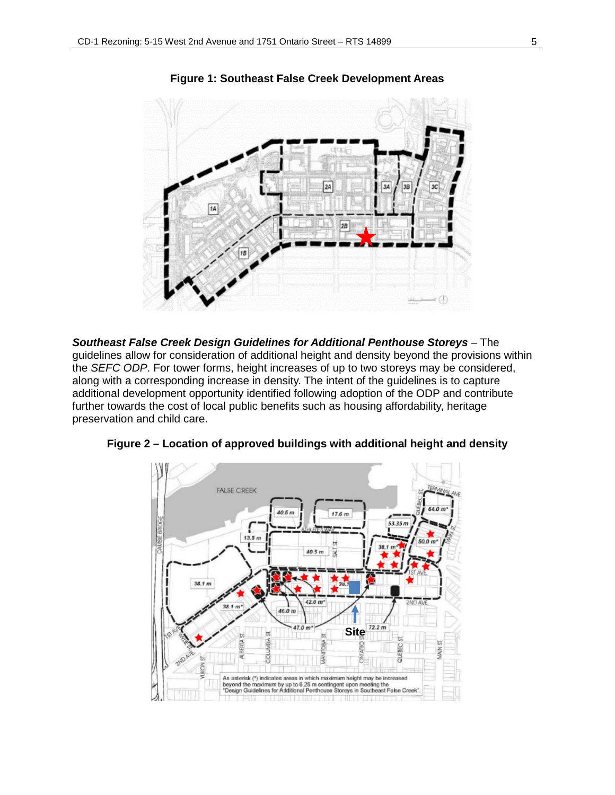

**Figure 1: Southeast False Creek Development Areas**

*Southeast False Creek Design Guidelines for Additional Penthouse Storeys* – The guidelines allow for consideration of additional height and density beyond the provisions within the *SEFC ODP*. For tower forms, height increases of up to two storeys may be considered, along with a corresponding increase in density. The intent of the guidelines is to capture additional development opportunity identified following adoption of the ODP and contribute further towards the cost of local public benefits such as housing affordability, heritage preservation and child care.



**Figure 2 – Location of approved buildings with additional height and density**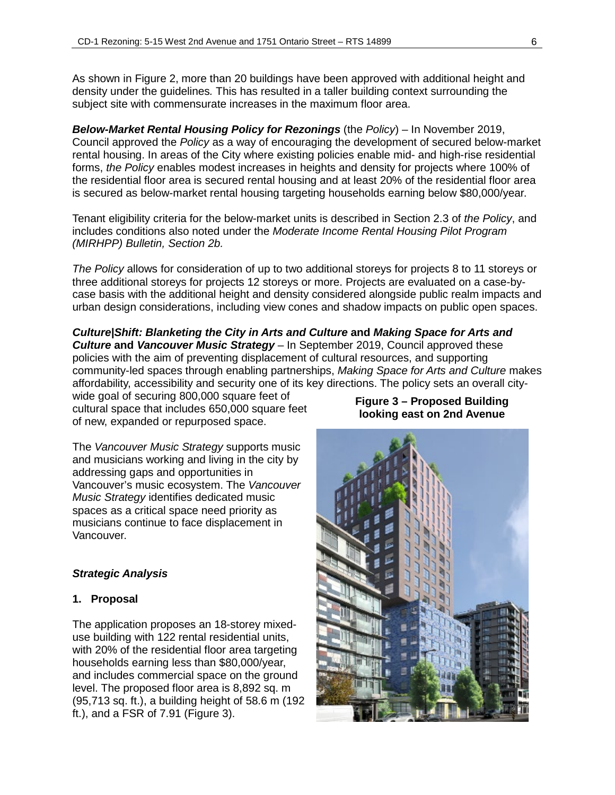As shown in Figure 2, more than 20 buildings have been approved with additional height and density under the guidelines*.* This has resulted in a taller building context surrounding the subject site with commensurate increases in the maximum floor area.

*Below-Market Rental Housing Policy for Rezonings* (the *Policy*) – In November 2019, Council approved the *Policy* as a way of encouraging the development of secured below-market rental housing. In areas of the City where existing policies enable mid- and high-rise residential forms, *the Policy* enables modest increases in heights and density for projects where 100% of the residential floor area is secured rental housing and at least 20% of the residential floor area is secured as below-market rental housing targeting households earning below \$80,000/year.

Tenant eligibility criteria for the below-market units is described in Section 2.3 of *the Policy*, and includes conditions also noted under the *Moderate Income Rental Housing Pilot Program (MIRHPP) Bulletin, Section 2b.*

*The Policy* allows for consideration of up to two additional storeys for projects 8 to 11 storeys or three additional storeys for projects 12 storeys or more. Projects are evaluated on a case-bycase basis with the additional height and density considered alongside public realm impacts and urban design considerations, including view cones and shadow impacts on public open spaces.

*Culture|Shift: Blanketing the City in Arts and Culture* **and** *Making Space for Arts and Culture* **and** *Vancouver Music Strategy* – In September 2019, Council approved these policies with the aim of preventing displacement of cultural resources, and supporting community-led spaces through enabling partnerships, *Making Space for Arts and Culture* makes affordability, accessibility and security one of its key directions. The policy sets an overall city-

wide goal of securing 800,000 square feet of cultural space that includes 650,000 square feet of new, expanded or repurposed space.

The *Vancouver Music Strategy* supports music and musicians working and living in the city by addressing gaps and opportunities in Vancouver's music ecosystem. The *Vancouver Music Strategy* identifies dedicated music spaces as a critical space need priority as musicians continue to face displacement in Vancouver.

# *Strategic Analysis*

# **1. Proposal**

The application proposes an 18-storey mixeduse building with 122 rental residential units, with 20% of the residential floor area targeting households earning less than \$80,000/year, and includes commercial space on the ground level. The proposed floor area is 8,892 sq. m (95,713 sq. ft.), a building height of 58.6 m (192 ft.), and a FSR of 7.91 (Figure 3).

### **Figure 3 – Proposed Building looking east on 2nd Avenue**

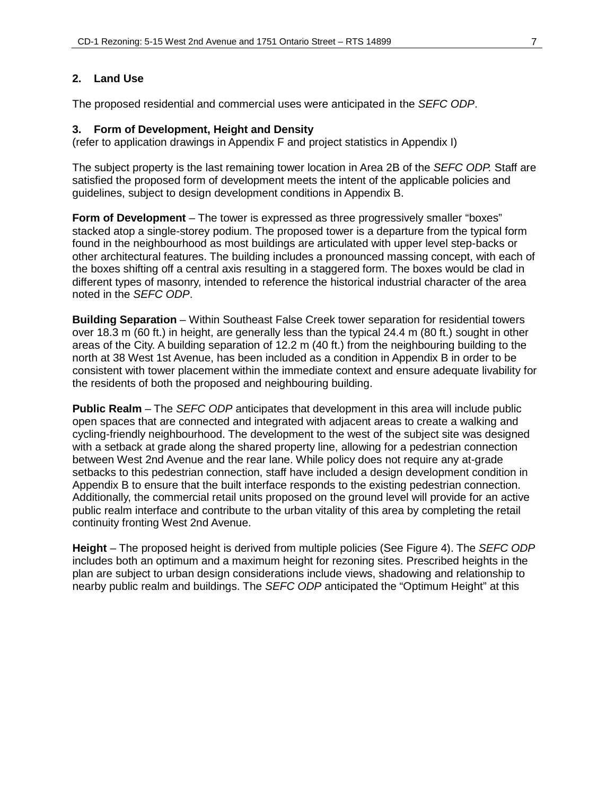## **2. Land Use**

The proposed residential and commercial uses were anticipated in the *SEFC ODP*.

### **3. Form of Development, Height and Density**

(refer to application drawings in Appendix F and project statistics in Appendix I)

The subject property is the last remaining tower location in Area 2B of the *SEFC ODP.* Staff are satisfied the proposed form of development meets the intent of the applicable policies and guidelines, subject to design development conditions in Appendix B.

**Form of Development** – The tower is expressed as three progressively smaller "boxes" stacked atop a single-storey podium. The proposed tower is a departure from the typical form found in the neighbourhood as most buildings are articulated with upper level step-backs or other architectural features. The building includes a pronounced massing concept, with each of the boxes shifting off a central axis resulting in a staggered form. The boxes would be clad in different types of masonry, intended to reference the historical industrial character of the area noted in the *SEFC ODP*.

**Building Separation** – Within Southeast False Creek tower separation for residential towers over 18.3 m (60 ft.) in height, are generally less than the typical 24.4 m (80 ft.) sought in other areas of the City. A building separation of 12.2 m (40 ft.) from the neighbouring building to the north at 38 West 1st Avenue, has been included as a condition in Appendix B in order to be consistent with tower placement within the immediate context and ensure adequate livability for the residents of both the proposed and neighbouring building.

**Public Realm** – The *SEFC ODP* anticipates that development in this area will include public open spaces that are connected and integrated with adjacent areas to create a walking and cycling-friendly neighbourhood. The development to the west of the subject site was designed with a setback at grade along the shared property line, allowing for a pedestrian connection between West 2nd Avenue and the rear lane. While policy does not require any at-grade setbacks to this pedestrian connection, staff have included a design development condition in Appendix B to ensure that the built interface responds to the existing pedestrian connection. Additionally, the commercial retail units proposed on the ground level will provide for an active public realm interface and contribute to the urban vitality of this area by completing the retail continuity fronting West 2nd Avenue.

**Height** – The proposed height is derived from multiple policies (See Figure 4). The *SEFC ODP* includes both an optimum and a maximum height for rezoning sites. Prescribed heights in the plan are subject to urban design considerations include views, shadowing and relationship to nearby public realm and buildings. The *SEFC ODP* anticipated the "Optimum Height" at this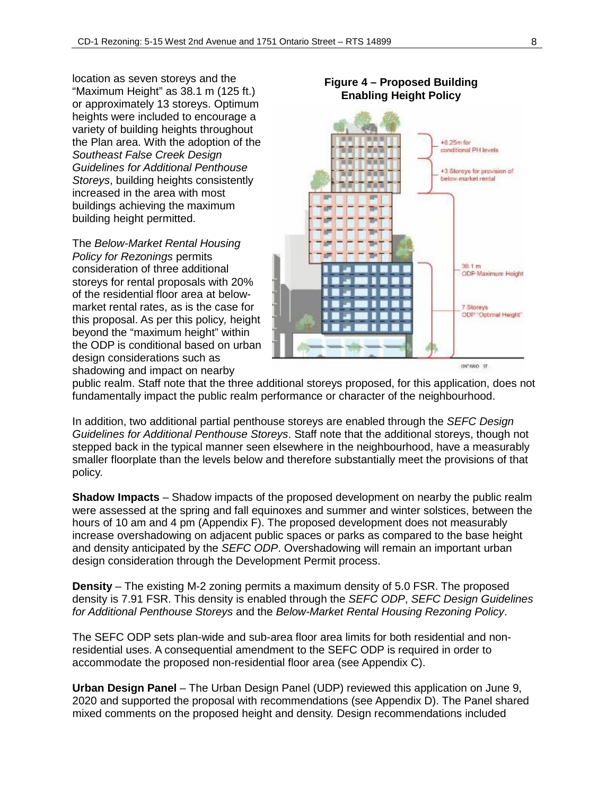location as seven storeys and the "Maximum Height" as 38.1 m (125 ft.) or approximately 13 storeys. Optimum heights were included to encourage a variety of building heights throughout the Plan area. With the adoption of the *Southeast False Creek Design Guidelines for Additional Penthouse Storeys*, building heights consistently increased in the area with most buildings achieving the maximum building height permitted.

The *Below-Market Rental Housing Policy for Rezonings* permits consideration of three additional storeys for rental proposals with 20% of the residential floor area at belowmarket rental rates, as is the case for this proposal. As per this policy*,* height beyond the "maximum height" within the ODP is conditional based on urban design considerations such as shadowing and impact on nearby



public realm. Staff note that the three additional storeys proposed, for this application, does not fundamentally impact the public realm performance or character of the neighbourhood.

In addition, two additional partial penthouse storeys are enabled through the *SEFC Design Guidelines for Additional Penthouse Storeys*. Staff note that the additional storeys, though not stepped back in the typical manner seen elsewhere in the neighbourhood, have a measurably smaller floorplate than the levels below and therefore substantially meet the provisions of that policy.

**Shadow Impacts** – Shadow impacts of the proposed development on nearby the public realm were assessed at the spring and fall equinoxes and summer and winter solstices, between the hours of 10 am and 4 pm (Appendix F). The proposed development does not measurably increase overshadowing on adjacent public spaces or parks as compared to the base height and density anticipated by the *SEFC ODP*. Overshadowing will remain an important urban design consideration through the Development Permit process.

**Density** – The existing M-2 zoning permits a maximum density of 5.0 FSR. The proposed density is 7.91 FSR. This density is enabled through the *SEFC ODP*, *SEFC Design Guidelines for Additional Penthouse Storeys* and the *Below-Market Rental Housing Rezoning Policy*.

The SEFC ODP sets plan-wide and sub-area floor area limits for both residential and nonresidential uses. A consequential amendment to the SEFC ODP is required in order to accommodate the proposed non-residential floor area (see Appendix C).

**Urban Design Panel** – The Urban Design Panel (UDP) reviewed this application on June 9, 2020 and supported the proposal with recommendations (see Appendix D). The Panel shared mixed comments on the proposed height and density. Design recommendations included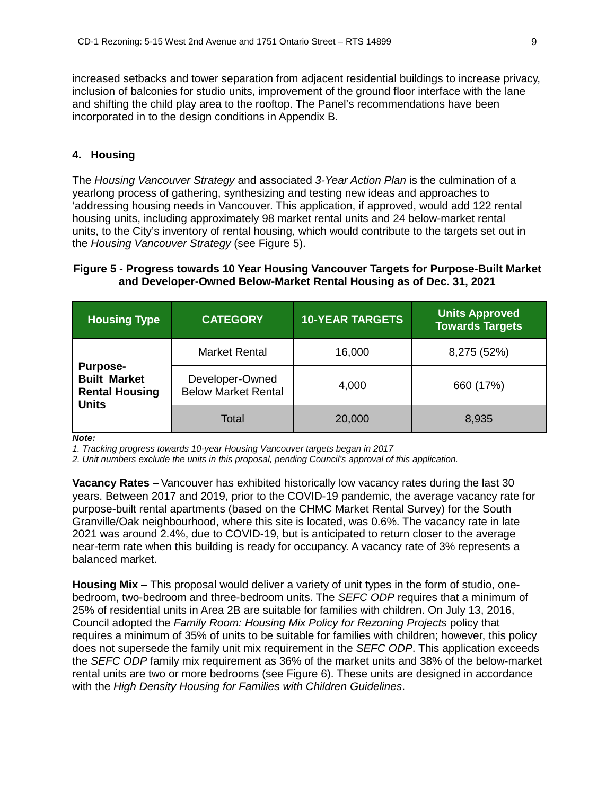increased setbacks and tower separation from adjacent residential buildings to increase privacy, inclusion of balconies for studio units, improvement of the ground floor interface with the lane and shifting the child play area to the rooftop. The Panel's recommendations have been incorporated in to the design conditions in Appendix B.

### **4. Housing**

The *Housing Vancouver Strategy* and associated *3-Year Action Plan* is the culmination of a yearlong process of gathering, synthesizing and testing new ideas and approaches to 'addressing housing needs in Vancouver. This application, if approved, would add 122 rental housing units, including approximately 98 market rental units and 24 below-market rental units, to the City's inventory of rental housing, which would contribute to the targets set out in the *Housing Vancouver Strategy* (see Figure 5).

### **Figure 5 - Progress towards 10 Year Housing Vancouver Targets for Purpose-Built Market and Developer-Owned Below-Market Rental Housing as of Dec. 31, 2021**

| <b>Housing Type</b>                                                             | <b>CATEGORY</b>                               | <b>10-YEAR TARGETS</b> | <b>Units Approved</b><br><b>Towards Targets</b> |
|---------------------------------------------------------------------------------|-----------------------------------------------|------------------------|-------------------------------------------------|
|                                                                                 | <b>Market Rental</b>                          | 16,000                 | 8,275 (52%)                                     |
| <b>Purpose-</b><br><b>Built Market</b><br><b>Rental Housing</b><br><b>Units</b> | Developer-Owned<br><b>Below Market Rental</b> | 4,000                  | 660 (17%)                                       |
|                                                                                 | Total                                         | 20,000                 | 8,935                                           |

*Note:*

*1. Tracking progress towards 10-year Housing Vancouver targets began in 2017*

*2. Unit numbers exclude the units in this proposal, pending Council's approval of this application.*

**Vacancy Rates** – Vancouver has exhibited historically low vacancy rates during the last 30 years. Between 2017 and 2019, prior to the COVID-19 pandemic, the average vacancy rate for purpose-built rental apartments (based on the CHMC Market Rental Survey) for the South Granville/Oak neighbourhood, where this site is located, was 0.6%. The vacancy rate in late 2021 was around 2.4%, due to COVID-19, but is anticipated to return closer to the average near-term rate when this building is ready for occupancy. A vacancy rate of 3% represents a balanced market.

**Housing Mix** – This proposal would deliver a variety of unit types in the form of studio, onebedroom, two-bedroom and three-bedroom units. The *SEFC ODP* requires that a minimum of 25% of residential units in Area 2B are suitable for families with children. On July 13, 2016, Council adopted the *Family Room: Housing Mix Policy for Rezoning Projects* policy that requires a minimum of 35% of units to be suitable for families with children; however, this policy does not supersede the family unit mix requirement in the *SEFC ODP*. This application exceeds the *SEFC ODP* family mix requirement as 36% of the market units and 38% of the below-market rental units are two or more bedrooms (see Figure 6). These units are designed in accordance with the *High Density Housing for Families with Children Guidelines*.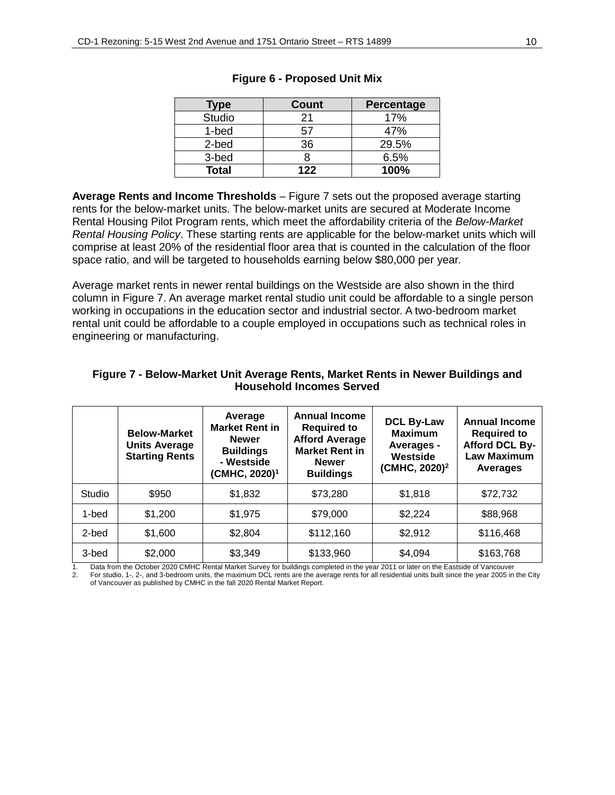| Type          | <b>Count</b> | Percentage |
|---------------|--------------|------------|
| <b>Studio</b> | 21           | 17%        |
| 1-bed         | 57           | 47%        |
| 2-bed         | 36           | 29.5%      |
| 3-bed         |              | 6.5%       |
| <b>Total</b>  | 122          | 100%       |

#### **Figure 6 - Proposed Unit Mix**

**Average Rents and Income Thresholds** – Figure 7 sets out the proposed average starting rents for the below-market units. The below-market units are secured at Moderate Income Rental Housing Pilot Program rents, which meet the affordability criteria of the *Below-Market Rental Housing Policy*. These starting rents are applicable for the below-market units which will comprise at least 20% of the residential floor area that is counted in the calculation of the floor space ratio, and will be targeted to households earning below \$80,000 per year.

Average market rents in newer rental buildings on the Westside are also shown in the third column in Figure 7. An average market rental studio unit could be affordable to a single person working in occupations in the education sector and industrial sector. A two-bedroom market rental unit could be affordable to a couple employed in occupations such as technical roles in engineering or manufacturing.

|        | <b>Below-Market</b><br><b>Units Average</b><br><b>Starting Rents</b> | Average<br><b>Market Rent in</b><br><b>Newer</b><br><b>Buildings</b><br>- Westside<br>(CMHC, 2020) <sup>1</sup> | <b>Annual Income</b><br><b>Required to</b><br><b>Afford Average</b><br><b>Market Rent in</b><br><b>Newer</b><br><b>Buildings</b> | <b>DCL By-Law</b><br><b>Maximum</b><br>Averages -<br>Westside<br>(CMHC, 2020) <sup>2</sup> | <b>Annual Income</b><br><b>Required to</b><br>Afford DCL By-<br><b>Law Maximum</b><br>Averages |
|--------|----------------------------------------------------------------------|-----------------------------------------------------------------------------------------------------------------|----------------------------------------------------------------------------------------------------------------------------------|--------------------------------------------------------------------------------------------|------------------------------------------------------------------------------------------------|
| Studio | \$950                                                                | \$1,832                                                                                                         | \$73,280                                                                                                                         | \$1,818                                                                                    | \$72,732                                                                                       |
| 1-bed  | \$1,200                                                              | \$1,975                                                                                                         | \$79,000                                                                                                                         | \$2,224                                                                                    | \$88,968                                                                                       |
| 2-bed  | \$1,600                                                              | \$2,804                                                                                                         | \$112,160                                                                                                                        | \$2,912                                                                                    | \$116,468                                                                                      |
| 3-bed  | \$2,000                                                              | \$3,349                                                                                                         | \$133,960                                                                                                                        | \$4,094                                                                                    | \$163,768                                                                                      |

### **Figure 7 - Below-Market Unit Average Rents, Market Rents in Newer Buildings and Household Incomes Served**

Data from the October 2020 CMHC Rental Market Survey for buildings completed in the year 2011 or later on the Eastside of Vancouver

2. For studio, 1-, 2-, and 3-bedroom units, the maximum DCL rents are the average rents for all residential units built since the year 2005 in the City of Vancouver as published by CMHC in the fall 2020 Rental Market Report.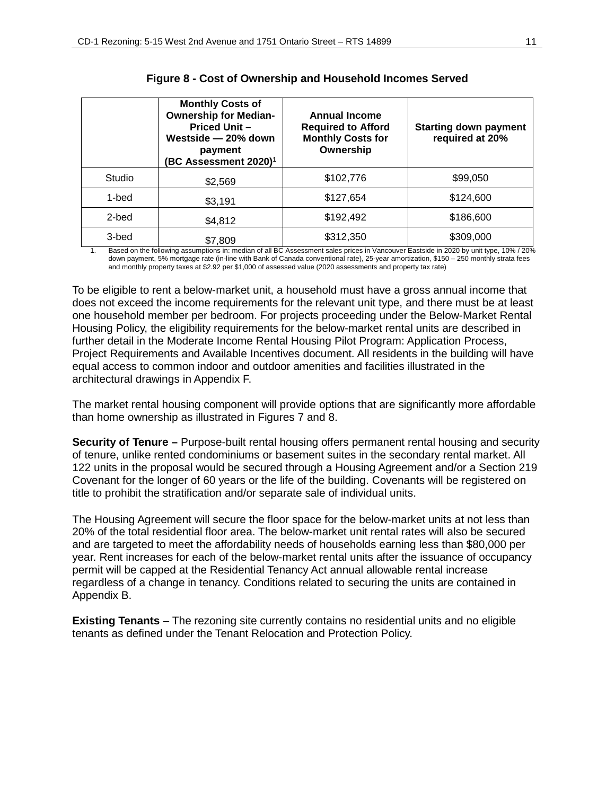|        | <b>Monthly Costs of</b><br><b>Ownership for Median-</b><br><b>Priced Unit -</b><br>Westside - 20% down<br>payment<br>(BC Assessment 2020) $^1$ | <b>Annual Income</b><br><b>Required to Afford</b><br><b>Monthly Costs for</b><br>Ownership | <b>Starting down payment</b><br>required at 20% |
|--------|------------------------------------------------------------------------------------------------------------------------------------------------|--------------------------------------------------------------------------------------------|-------------------------------------------------|
| Studio | \$2,569                                                                                                                                        | \$102,776                                                                                  | \$99,050                                        |
| 1-bed  | \$3,191                                                                                                                                        | \$127,654                                                                                  | \$124,600                                       |
| 2-bed  | \$4,812                                                                                                                                        | \$192,492                                                                                  | \$186,600                                       |
| 3-bed  | \$7,809                                                                                                                                        | \$312,350                                                                                  | \$309,000                                       |

| Figure 8 - Cost of Ownership and Household Incomes Served |  |  |
|-----------------------------------------------------------|--|--|
|-----------------------------------------------------------|--|--|

1. Based on the following assumptions in: median of all BC Assessment sales prices in Vancouver Eastside in 2020 by unit type, 10% / 20% down payment, 5% mortgage rate (in-line with Bank of Canada conventional rate), 25-year amortization, \$150 – 250 monthly strata fees and monthly property taxes at \$2.92 per \$1,000 of assessed value (2020 assessments and property tax rate)

To be eligible to rent a below-market unit, a household must have a gross annual income that does not exceed the income requirements for the relevant unit type, and there must be at least one household member per bedroom. For projects proceeding under the Below-Market Rental Housing Policy, the eligibility requirements for the below-market rental units are described in further detail in the Moderate Income Rental Housing Pilot Program: Application Process, Project Requirements and Available Incentives document. All residents in the building will have equal access to common indoor and outdoor amenities and facilities illustrated in the architectural drawings in Appendix F.

The market rental housing component will provide options that are significantly more affordable than home ownership as illustrated in Figures 7 and 8.

**Security of Tenure –** Purpose-built rental housing offers permanent rental housing and security of tenure, unlike rented condominiums or basement suites in the secondary rental market. All 122 units in the proposal would be secured through a Housing Agreement and/or a Section 219 Covenant for the longer of 60 years or the life of the building. Covenants will be registered on title to prohibit the stratification and/or separate sale of individual units.

The Housing Agreement will secure the floor space for the below-market units at not less than 20% of the total residential floor area. The below-market unit rental rates will also be secured and are targeted to meet the affordability needs of households earning less than \$80,000 per year. Rent increases for each of the below-market rental units after the issuance of occupancy permit will be capped at the Residential Tenancy Act annual allowable rental increase regardless of a change in tenancy. Conditions related to securing the units are contained in Appendix B.

**Existing Tenants** – The rezoning site currently contains no residential units and no eligible tenants as defined under the Tenant Relocation and Protection Policy.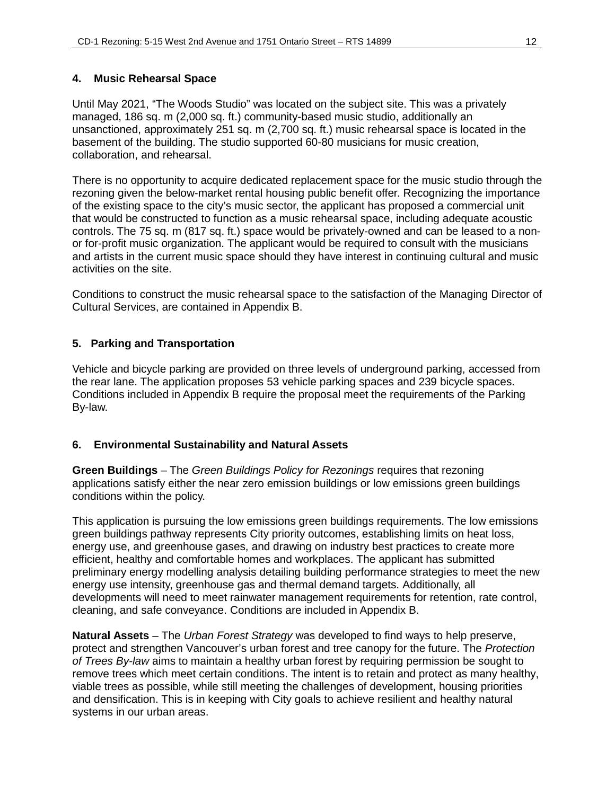# **4. Music Rehearsal Space**

Until May 2021, "The Woods Studio" was located on the subject site. This was a privately managed, 186 sq. m (2,000 sq. ft.) community-based music studio, additionally an unsanctioned, approximately 251 sq. m (2,700 sq. ft.) music rehearsal space is located in the basement of the building. The studio supported 60-80 musicians for music creation, collaboration, and rehearsal.

There is no opportunity to acquire dedicated replacement space for the music studio through the rezoning given the below-market rental housing public benefit offer. Recognizing the importance of the existing space to the city's music sector, the applicant has proposed a commercial unit that would be constructed to function as a music rehearsal space, including adequate acoustic controls. The 75 sq. m (817 sq. ft.) space would be privately-owned and can be leased to a nonor for-profit music organization. The applicant would be required to consult with the musicians and artists in the current music space should they have interest in continuing cultural and music activities on the site.

Conditions to construct the music rehearsal space to the satisfaction of the Managing Director of Cultural Services, are contained in Appendix B.

# **5. Parking and Transportation**

Vehicle and bicycle parking are provided on three levels of underground parking, accessed from the rear lane. The application proposes 53 vehicle parking spaces and 239 bicycle spaces. Conditions included in Appendix B require the proposal meet the requirements of the Parking By-law.

# **6. Environmental Sustainability and Natural Assets**

**Green Buildings** – The *Green Buildings Policy for Rezonings* requires that rezoning applications satisfy either the near zero emission buildings or low emissions green buildings conditions within the policy.

This application is pursuing the low emissions green buildings requirements. The low emissions green buildings pathway represents City priority outcomes, establishing limits on heat loss, energy use, and greenhouse gases, and drawing on industry best practices to create more efficient, healthy and comfortable homes and workplaces. The applicant has submitted preliminary energy modelling analysis detailing building performance strategies to meet the new energy use intensity, greenhouse gas and thermal demand targets. Additionally, all developments will need to meet rainwater management requirements for retention, rate control, cleaning, and safe conveyance. Conditions are included in Appendix B.

**Natural Assets** – The *Urban Forest Strategy* was developed to find ways to help preserve, protect and strengthen Vancouver's urban forest and tree canopy for the future. The *Protection of Trees By-law* aims to maintain a healthy urban forest by requiring permission be sought to remove trees which meet certain conditions. The intent is to retain and protect as many healthy, viable trees as possible, while still meeting the challenges of development, housing priorities and densification. This is in keeping with City goals to achieve resilient and healthy natural systems in our urban areas.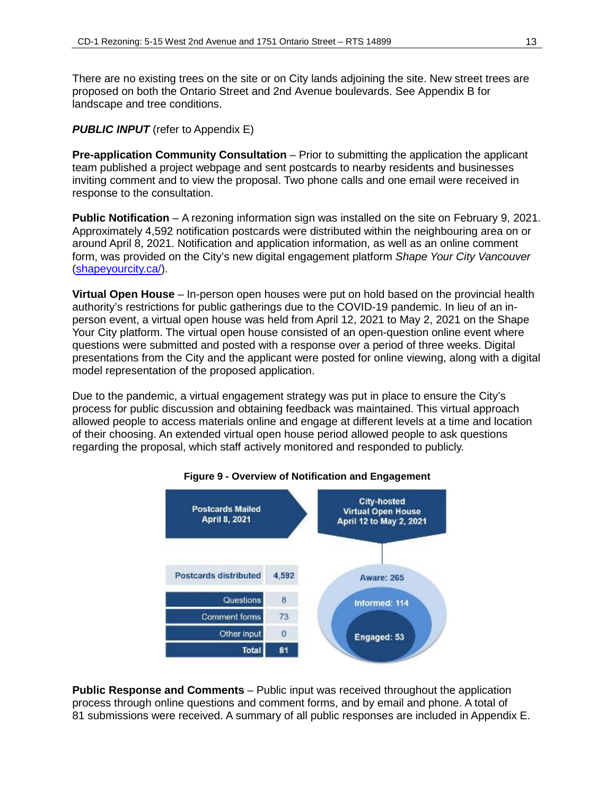There are no existing trees on the site or on City lands adjoining the site. New street trees are proposed on both the Ontario Street and 2nd Avenue boulevards. See Appendix B for landscape and tree conditions.

### *PUBLIC INPUT* (refer to Appendix E)

**Pre-application Community Consultation** – Prior to submitting the application the applicant team published a project webpage and sent postcards to nearby residents and businesses inviting comment and to view the proposal. Two phone calls and one email were received in response to the consultation.

**Public Notification** – A rezoning information sign was installed on the site on February 9, 2021. Approximately 4,592 notification postcards were distributed within the neighbouring area on or around April 8, 2021. Notification and application information, as well as an online comment form, was provided on the City's new digital engagement platform *Shape Your City Vancouver* (shapeyourcity.ca/).

**Virtual Open House** – In-person open houses were put on hold based on the provincial health authority's restrictions for public gatherings due to the COVID-19 pandemic. In lieu of an inperson event, a virtual open house was held from April 12, 2021 to May 2, 2021 on the Shape Your City platform. The virtual open house consisted of an open-question online event where questions were submitted and posted with a response over a period of three weeks. Digital presentations from the City and the applicant were posted for online viewing, along with a digital model representation of the proposed application.

Due to the pandemic, a virtual engagement strategy was put in place to ensure the City's process for public discussion and obtaining feedback was maintained. This virtual approach allowed people to access materials online and engage at different levels at a time and location of their choosing. An extended virtual open house period allowed people to ask questions regarding the proposal, which staff actively monitored and responded to publicly.



#### **Figure 9 - Overview of Notification and Engagement**

**Public Response and Comments** – Public input was received throughout the application process through online questions and comment forms, and by email and phone. A total of 81 submissions were received. A summary of all public responses are included in Appendix E.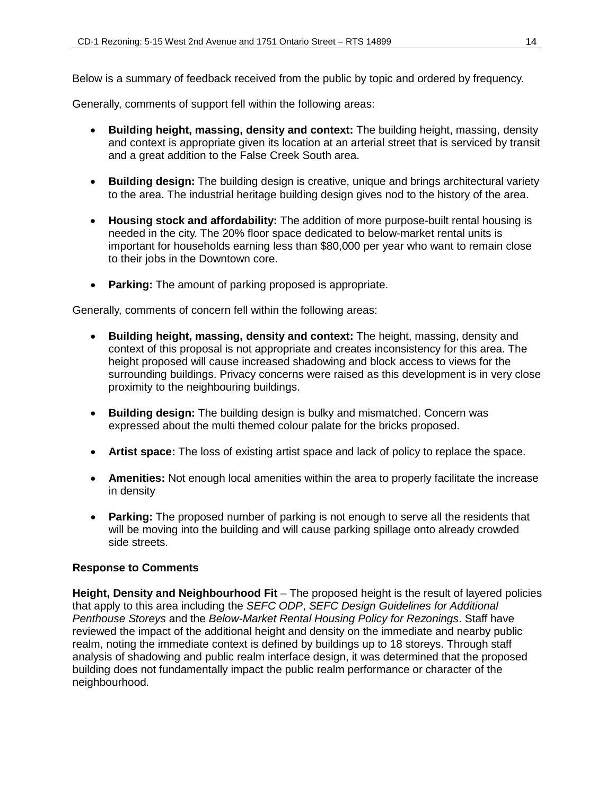Below is a summary of feedback received from the public by topic and ordered by frequency.

Generally, comments of support fell within the following areas:

- **Building height, massing, density and context:** The building height, massing, density and context is appropriate given its location at an arterial street that is serviced by transit and a great addition to the False Creek South area.
- **Building design:** The building design is creative, unique and brings architectural variety to the area. The industrial heritage building design gives nod to the history of the area.
- **Housing stock and affordability:** The addition of more purpose-built rental housing is needed in the city. The 20% floor space dedicated to below-market rental units is important for households earning less than \$80,000 per year who want to remain close to their jobs in the Downtown core.
- **Parking:** The amount of parking proposed is appropriate.

Generally, comments of concern fell within the following areas:

- **Building height, massing, density and context:** The height, massing, density and context of this proposal is not appropriate and creates inconsistency for this area. The height proposed will cause increased shadowing and block access to views for the surrounding buildings. Privacy concerns were raised as this development is in very close proximity to the neighbouring buildings.
- **Building design:** The building design is bulky and mismatched. Concern was expressed about the multi themed colour palate for the bricks proposed.
- **Artist space:** The loss of existing artist space and lack of policy to replace the space.
- **Amenities:** Not enough local amenities within the area to properly facilitate the increase in density
- **Parking:** The proposed number of parking is not enough to serve all the residents that will be moving into the building and will cause parking spillage onto already crowded side streets.

# **Response to Comments**

**Height, Density and Neighbourhood Fit** – The proposed height is the result of layered policies that apply to this area including the *SEFC ODP*, *SEFC Design Guidelines for Additional Penthouse Storeys* and the *Below-Market Rental Housing Policy for Rezonings*. Staff have reviewed the impact of the additional height and density on the immediate and nearby public realm, noting the immediate context is defined by buildings up to 18 storeys. Through staff analysis of shadowing and public realm interface design, it was determined that the proposed building does not fundamentally impact the public realm performance or character of the neighbourhood.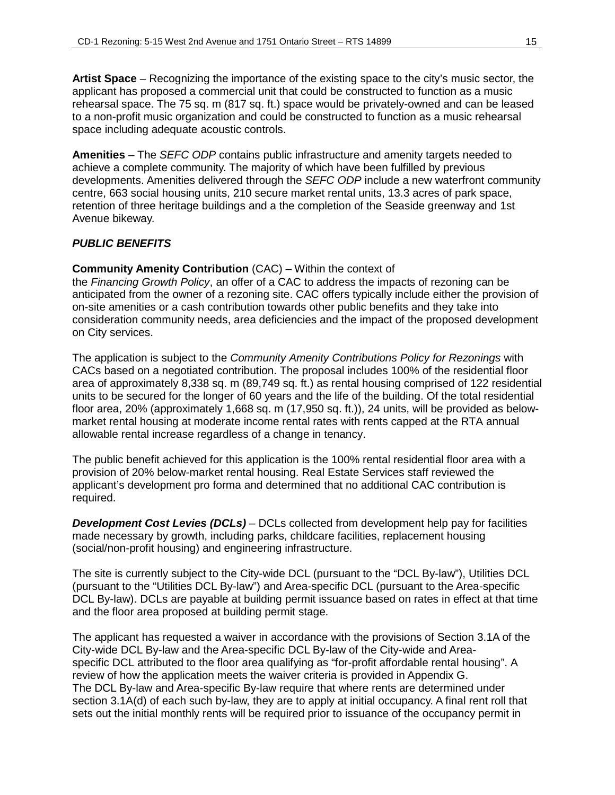**Artist Space** – Recognizing the importance of the existing space to the city's music sector, the applicant has proposed a commercial unit that could be constructed to function as a music rehearsal space. The 75 sq. m (817 sq. ft.) space would be privately-owned and can be leased to a non-profit music organization and could be constructed to function as a music rehearsal space including adequate acoustic controls.

**Amenities** – The *SEFC ODP* contains public infrastructure and amenity targets needed to achieve a complete community. The majority of which have been fulfilled by previous developments. Amenities delivered through the *SEFC ODP* include a new waterfront community centre, 663 social housing units, 210 secure market rental units, 13.3 acres of park space, retention of three heritage buildings and a the completion of the Seaside greenway and 1st Avenue bikeway.

### *PUBLIC BENEFITS*

**Community Amenity Contribution** (CAC) – Within the context of

the *Financing Growth Policy*, an offer of a CAC to address the impacts of rezoning can be anticipated from the owner of a rezoning site. CAC offers typically include either the provision of on-site amenities or a cash contribution towards other public benefits and they take into consideration community needs, area deficiencies and the impact of the proposed development on City services.

The application is subject to the *Community Amenity Contributions Policy for Rezonings* with CACs based on a negotiated contribution. The proposal includes 100% of the residential floor area of approximately 8,338 sq. m (89,749 sq. ft.) as rental housing comprised of 122 residential units to be secured for the longer of 60 years and the life of the building. Of the total residential floor area, 20% (approximately 1,668 sq. m (17,950 sq. ft.)), 24 units, will be provided as belowmarket rental housing at moderate income rental rates with rents capped at the RTA annual allowable rental increase regardless of a change in tenancy.

The public benefit achieved for this application is the 100% rental residential floor area with a provision of 20% below-market rental housing. Real Estate Services staff reviewed the applicant's development pro forma and determined that no additional CAC contribution is required.

*Development Cost Levies (DCLs)* – DCLs collected from development help pay for facilities made necessary by growth, including parks, childcare facilities, replacement housing (social/non-profit housing) and engineering infrastructure.

The site is currently subject to the City-wide DCL (pursuant to the "DCL By-law"), Utilities DCL (pursuant to the "Utilities DCL By-law") and Area-specific DCL (pursuant to the Area-specific DCL By-law). DCLs are payable at building permit issuance based on rates in effect at that time and the floor area proposed at building permit stage.

The applicant has requested a waiver in accordance with the provisions of Section 3.1A of the City-wide DCL By-law and the Area-specific DCL By-law of the City-wide and Areaspecific DCL attributed to the floor area qualifying as "for-profit affordable rental housing". A review of how the application meets the waiver criteria is provided in Appendix G. The DCL By-law and Area-specific By-law require that where rents are determined under section 3.1A(d) of each such by-law, they are to apply at initial occupancy. A final rent roll that sets out the initial monthly rents will be required prior to issuance of the occupancy permit in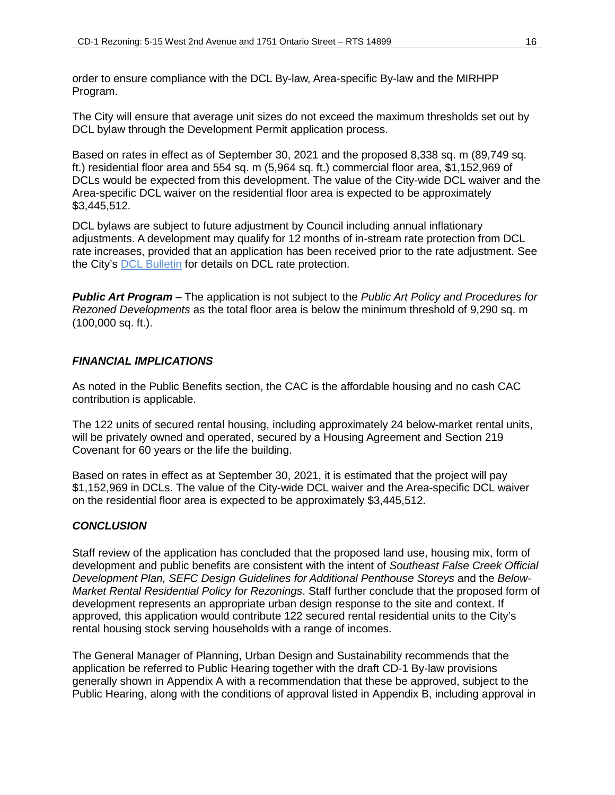order to ensure compliance with the DCL By-law, Area-specific By-law and the MIRHPP Program.

The City will ensure that average unit sizes do not exceed the maximum thresholds set out by DCL bylaw through the Development Permit application process.

Based on rates in effect as of September 30, 2021 and the proposed 8,338 sq. m (89,749 sq. ft.) residential floor area and 554 sq. m (5,964 sq. ft.) commercial floor area, \$1,152,969 of DCLs would be expected from this development. The value of the City-wide DCL waiver and the Area-specific DCL waiver on the residential floor area is expected to be approximately \$3,445,512.

DCL bylaws are subject to future adjustment by Council including annual inflationary adjustments. A development may qualify for 12 months of in-stream rate protection from DCL rate increases, provided that an application has been received prior to the rate adjustment. See the City's [DCL Bulletin](https://vancouver.ca/files/cov/development-cost-levies-bulletin.pdf) for details on DCL rate protection.

*Public Art Program* – The application is not subject to the *Public Art Policy and Procedures for Rezoned Developments* as the total floor area is below the minimum threshold of 9,290 sq. m (100,000 sq. ft.).

#### *FINANCIAL IMPLICATIONS*

As noted in the Public Benefits section, the CAC is the affordable housing and no cash CAC contribution is applicable.

The 122 units of secured rental housing, including approximately 24 below-market rental units, will be privately owned and operated, secured by a Housing Agreement and Section 219 Covenant for 60 years or the life the building.

Based on rates in effect as at September 30, 2021, it is estimated that the project will pay \$1,152,969 in DCLs. The value of the City-wide DCL waiver and the Area-specific DCL waiver on the residential floor area is expected to be approximately \$3,445,512.

### *CONCLUSION*

Staff review of the application has concluded that the proposed land use, housing mix, form of development and public benefits are consistent with the intent of *Southeast False Creek Official Development Plan, SEFC Design Guidelines for Additional Penthouse Storeys* and the *Below-Market Rental Residential Policy for Rezonings*. Staff further conclude that the proposed form of development represents an appropriate urban design response to the site and context. If approved, this application would contribute 122 secured rental residential units to the City's rental housing stock serving households with a range of incomes.

The General Manager of Planning, Urban Design and Sustainability recommends that the application be referred to Public Hearing together with the draft CD-1 By-law provisions generally shown in Appendix A with a recommendation that these be approved, subject to the Public Hearing, along with the conditions of approval listed in Appendix B, including approval in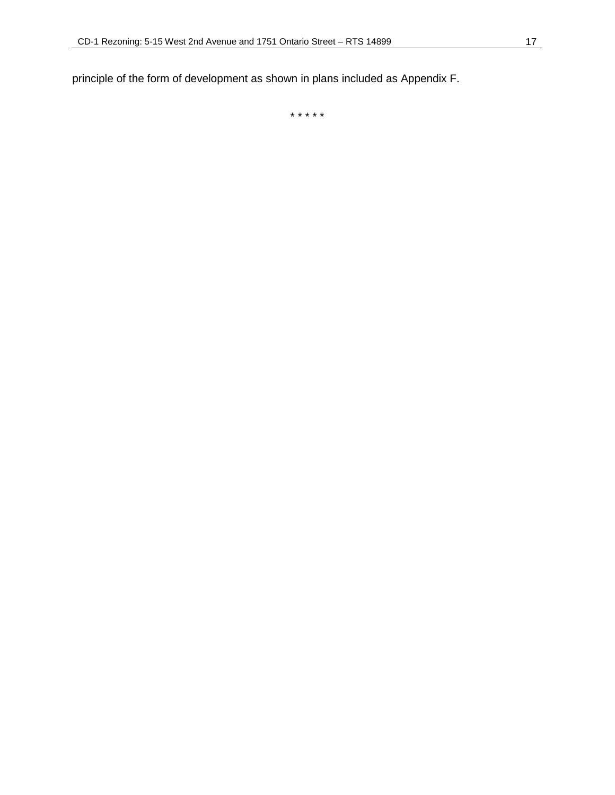principle of the form of development as shown in plans included as Appendix F.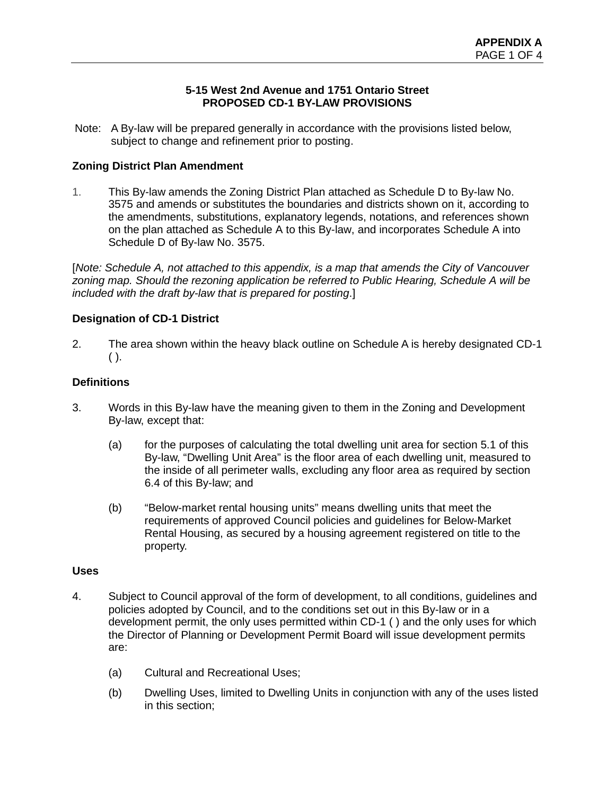### **5-15 West 2nd Avenue and 1751 Ontario Street PROPOSED CD-1 BY-LAW PROVISIONS**

Note: A By-law will be prepared generally in accordance with the provisions listed below, subject to change and refinement prior to posting.

# **Zoning District Plan Amendment**

1. This By-law amends the Zoning District Plan attached as Schedule D to By-law No. 3575 and amends or substitutes the boundaries and districts shown on it, according to the amendments, substitutions, explanatory legends, notations, and references shown on the plan attached as Schedule A to this By-law, and incorporates Schedule A into Schedule D of By-law No. 3575.

[*Note: Schedule A, not attached to this appendix, is a map that amends the City of Vancouver zoning map. Should the rezoning application be referred to Public Hearing, Schedule A will be included with the draft by-law that is prepared for posting*.]

# **Designation of CD-1 District**

2. The area shown within the heavy black outline on Schedule A is hereby designated CD-1  $( )$ .

# **Definitions**

- 3. Words in this By-law have the meaning given to them in the Zoning and Development By-law, except that:
	- (a) for the purposes of calculating the total dwelling unit area for section 5.1 of this By-law, "Dwelling Unit Area" is the floor area of each dwelling unit, measured to the inside of all perimeter walls, excluding any floor area as required by section 6.4 of this By-law; and
	- (b) "Below-market rental housing units" means dwelling units that meet the requirements of approved Council policies and guidelines for Below-Market Rental Housing, as secured by a housing agreement registered on title to the property.

# **Uses**

- 4. Subject to Council approval of the form of development, to all conditions, guidelines and policies adopted by Council, and to the conditions set out in this By-law or in a development permit, the only uses permitted within CD-1 ( ) and the only uses for which the Director of Planning or Development Permit Board will issue development permits are:
	- (a) Cultural and Recreational Uses;
	- (b) Dwelling Uses, limited to Dwelling Units in conjunction with any of the uses listed in this section;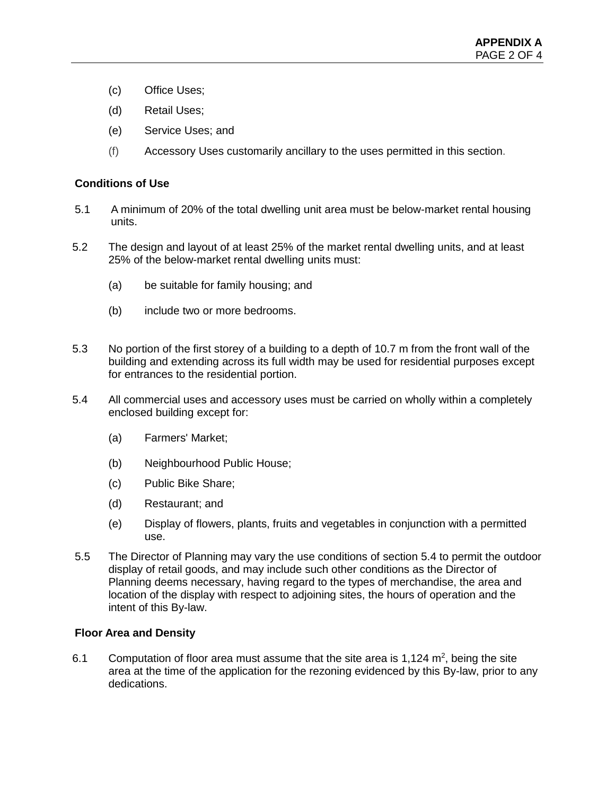- (c) Office Uses;
- (d) Retail Uses;
- (e) Service Uses; and
- (f) Accessory Uses customarily ancillary to the uses permitted in this section.

# **Conditions of Use**

- 5.1 A minimum of 20% of the total dwelling unit area must be below-market rental housing units.
- 5.2 The design and layout of at least 25% of the market rental dwelling units, and at least 25% of the below-market rental dwelling units must:
	- (a) be suitable for family housing; and
	- (b) include two or more bedrooms.
- 5.3 No portion of the first storey of a building to a depth of 10.7 m from the front wall of the building and extending across its full width may be used for residential purposes except for entrances to the residential portion.
- 5.4 All commercial uses and accessory uses must be carried on wholly within a completely enclosed building except for:
	- (a) Farmers' Market;
	- (b) Neighbourhood Public House;
	- (c) Public Bike Share;
	- (d) Restaurant; and
	- (e) Display of flowers, plants, fruits and vegetables in conjunction with a permitted use.
- 5.5 The Director of Planning may vary the use conditions of section 5.4 to permit the outdoor display of retail goods, and may include such other conditions as the Director of Planning deems necessary, having regard to the types of merchandise, the area and location of the display with respect to adjoining sites, the hours of operation and the intent of this By-law.

# **Floor Area and Density**

6.1 Computation of floor area must assume that the site area is 1,124  $m^2$ , being the site area at the time of the application for the rezoning evidenced by this By-law, prior to any dedications.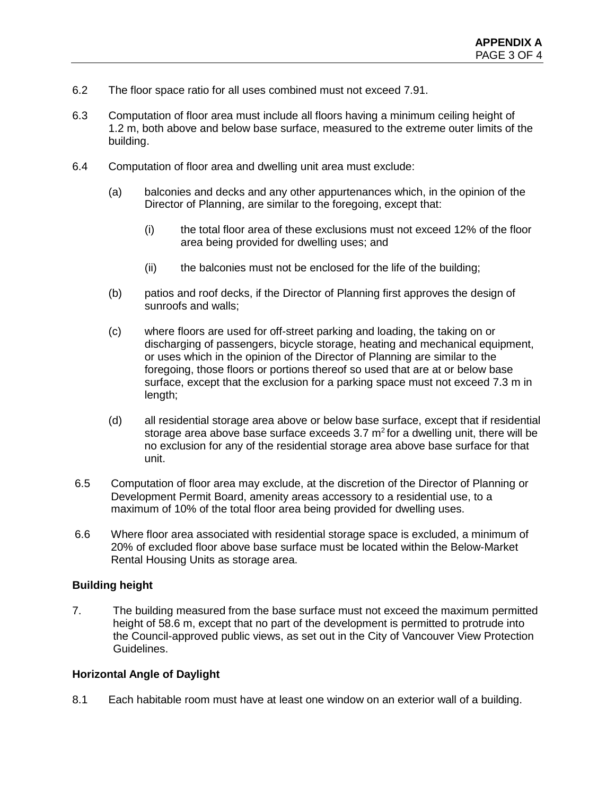- 6.2 The floor space ratio for all uses combined must not exceed 7.91.
- 6.3 Computation of floor area must include all floors having a minimum ceiling height of 1.2 m, both above and below base surface, measured to the extreme outer limits of the building.
- 6.4 Computation of floor area and dwelling unit area must exclude:
	- (a) balconies and decks and any other appurtenances which, in the opinion of the Director of Planning, are similar to the foregoing, except that:
		- (i) the total floor area of these exclusions must not exceed 12% of the floor area being provided for dwelling uses; and
		- (ii) the balconies must not be enclosed for the life of the building;
	- (b) patios and roof decks, if the Director of Planning first approves the design of sunroofs and walls;
	- (c) where floors are used for off-street parking and loading, the taking on or discharging of passengers, bicycle storage, heating and mechanical equipment, or uses which in the opinion of the Director of Planning are similar to the foregoing, those floors or portions thereof so used that are at or below base surface, except that the exclusion for a parking space must not exceed 7.3 m in length;
	- (d) all residential storage area above or below base surface, except that if residential storage area above base surface exceeds 3.7  $m^2$  for a dwelling unit, there will be no exclusion for any of the residential storage area above base surface for that unit.
- 6.5 Computation of floor area may exclude, at the discretion of the Director of Planning or Development Permit Board, amenity areas accessory to a residential use, to a maximum of 10% of the total floor area being provided for dwelling uses.
- 6.6 Where floor area associated with residential storage space is excluded, a minimum of 20% of excluded floor above base surface must be located within the Below-Market Rental Housing Units as storage area.

# **Building height**

7. The building measured from the base surface must not exceed the maximum permitted height of 58.6 m, except that no part of the development is permitted to protrude into the Council-approved public views, as set out in the City of Vancouver View Protection Guidelines.

# **Horizontal Angle of Daylight**

8.1 Each habitable room must have at least one window on an exterior wall of a building.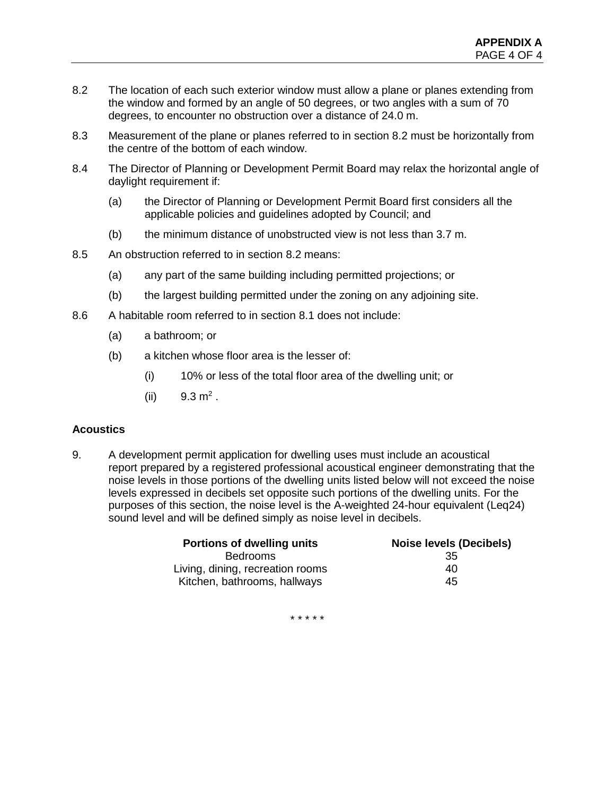- 8.2 The location of each such exterior window must allow a plane or planes extending from the window and formed by an angle of 50 degrees, or two angles with a sum of 70 degrees, to encounter no obstruction over a distance of 24.0 m.
- 8.3 Measurement of the plane or planes referred to in section 8.2 must be horizontally from the centre of the bottom of each window.
- 8.4 The Director of Planning or Development Permit Board may relax the horizontal angle of daylight requirement if:
	- (a) the Director of Planning or Development Permit Board first considers all the applicable policies and guidelines adopted by Council; and
	- (b) the minimum distance of unobstructed view is not less than 3.7 m.
- 8.5 An obstruction referred to in section 8.2 means:
	- (a) any part of the same building including permitted projections; or
	- (b) the largest building permitted under the zoning on any adjoining site.
- 8.6 A habitable room referred to in section 8.1 does not include:
	- (a) a bathroom; or
	- (b) a kitchen whose floor area is the lesser of:
		- (i) 10% or less of the total floor area of the dwelling unit; or
		- (ii)  $9.3 \text{ m}^2$ .

# **Acoustics**

9. A development permit application for dwelling uses must include an acoustical report prepared by a registered professional acoustical engineer demonstrating that the noise levels in those portions of the dwelling units listed below will not exceed the noise levels expressed in decibels set opposite such portions of the dwelling units. For the purposes of this section, the noise level is the A-weighted 24-hour equivalent (Leq24) sound level and will be defined simply as noise level in decibels.

| <b>Portions of dwelling units</b> | <b>Noise levels (Decibels)</b> |
|-----------------------------------|--------------------------------|
| <b>Bedrooms</b>                   | 35                             |
| Living, dining, recreation rooms  | 40                             |
| Kitchen, bathrooms, hallways      | 45                             |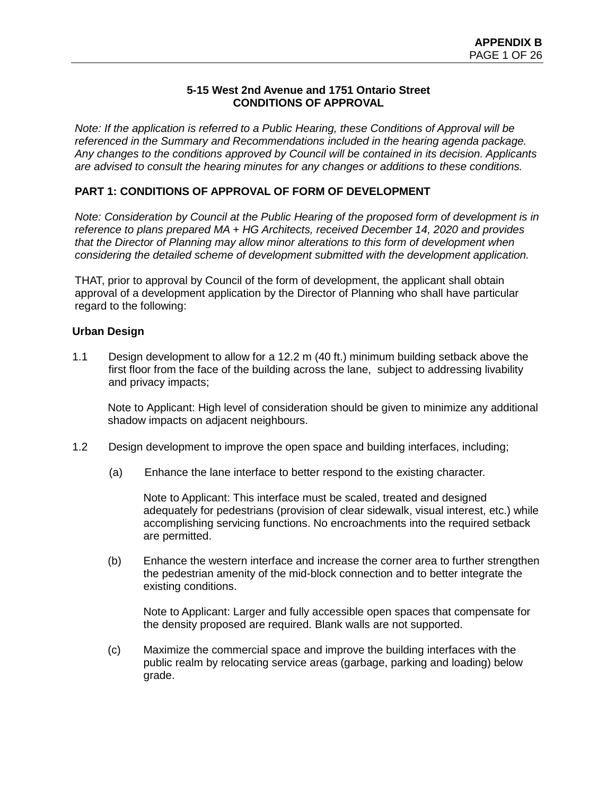### **5-15 West 2nd Avenue and 1751 Ontario Street CONDITIONS OF APPROVAL**

*Note: If the application is referred to a Public Hearing, these Conditions of Approval will be referenced in the Summary and Recommendations included in the hearing agenda package. Any changes to the conditions approved by Council will be contained in its decision. Applicants are advised to consult the hearing minutes for any changes or additions to these conditions.*

# **PART 1: CONDITIONS OF APPROVAL OF FORM OF DEVELOPMENT**

*Note: Consideration by Council at the Public Hearing of the proposed form of development is in reference to plans prepared MA + HG Architects, received December 14, 2020 and provides that the Director of Planning may allow minor alterations to this form of development when considering the detailed scheme of development submitted with the development application.* 

THAT, prior to approval by Council of the form of development, the applicant shall obtain approval of a development application by the Director of Planning who shall have particular regard to the following:

### **Urban Design**

1.1 Design development to allow for a 12.2 m (40 ft.) minimum building setback above the first floor from the face of the building across the lane, subject to addressing livability and privacy impacts;

Note to Applicant: High level of consideration should be given to minimize any additional shadow impacts on adjacent neighbours.

- 1.2 Design development to improve the open space and building interfaces, including;
	- (a) Enhance the lane interface to better respond to the existing character.

Note to Applicant: This interface must be scaled, treated and designed adequately for pedestrians (provision of clear sidewalk, visual interest, etc.) while accomplishing servicing functions. No encroachments into the required setback are permitted.

(b) Enhance the western interface and increase the corner area to further strengthen the pedestrian amenity of the mid-block connection and to better integrate the existing conditions.

Note to Applicant: Larger and fully accessible open spaces that compensate for the density proposed are required. Blank walls are not supported.

(c) Maximize the commercial space and improve the building interfaces with the public realm by relocating service areas (garbage, parking and loading) below grade.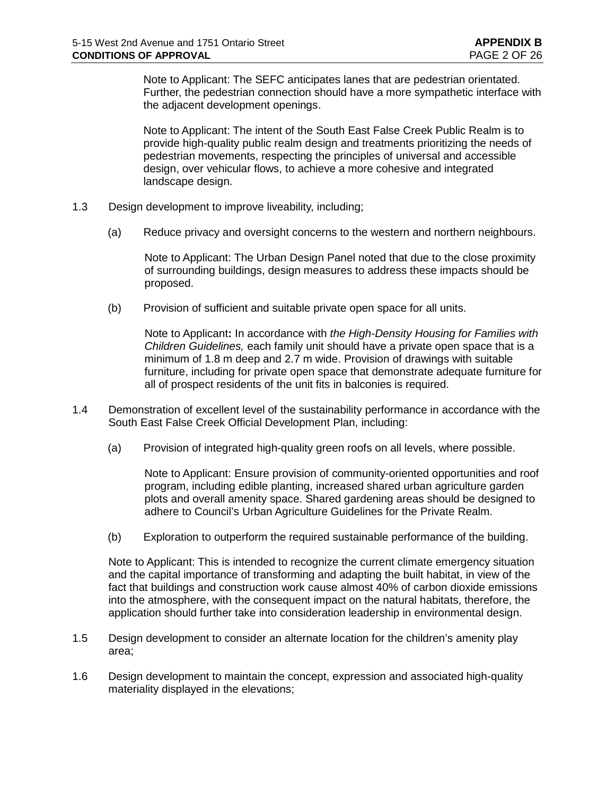Note to Applicant: The SEFC anticipates lanes that are pedestrian orientated. Further, the pedestrian connection should have a more sympathetic interface with the adjacent development openings.

Note to Applicant: The intent of the South East False Creek Public Realm is to provide high-quality public realm design and treatments prioritizing the needs of pedestrian movements, respecting the principles of universal and accessible design, over vehicular flows, to achieve a more cohesive and integrated landscape design.

- 1.3 Design development to improve liveability, including;
	- (a) Reduce privacy and oversight concerns to the western and northern neighbours.

Note to Applicant: The Urban Design Panel noted that due to the close proximity of surrounding buildings, design measures to address these impacts should be proposed.

(b) Provision of sufficient and suitable private open space for all units.

Note to Applicant**:** In accordance with *the High-Density Housing for Families with Children Guidelines,* each family unit should have a private open space that is a minimum of 1.8 m deep and 2.7 m wide. Provision of drawings with suitable furniture, including for private open space that demonstrate adequate furniture for all of prospect residents of the unit fits in balconies is required.

- 1.4 Demonstration of excellent level of the sustainability performance in accordance with the South East False Creek Official Development Plan, including:
	- (a) Provision of integrated high-quality green roofs on all levels, where possible.

Note to Applicant: Ensure provision of community-oriented opportunities and roof program, including edible planting, increased shared urban agriculture garden plots and overall amenity space. Shared gardening areas should be designed to adhere to Council's Urban Agriculture Guidelines for the Private Realm.

(b) Exploration to outperform the required sustainable performance of the building.

Note to Applicant: This is intended to recognize the current climate emergency situation and the capital importance of transforming and adapting the built habitat, in view of the fact that buildings and construction work cause almost 40% of carbon dioxide emissions into the atmosphere, with the consequent impact on the natural habitats, therefore, the application should further take into consideration leadership in environmental design.

- 1.5 Design development to consider an alternate location for the children's amenity play area;
- 1.6 Design development to maintain the concept, expression and associated high-quality materiality displayed in the elevations;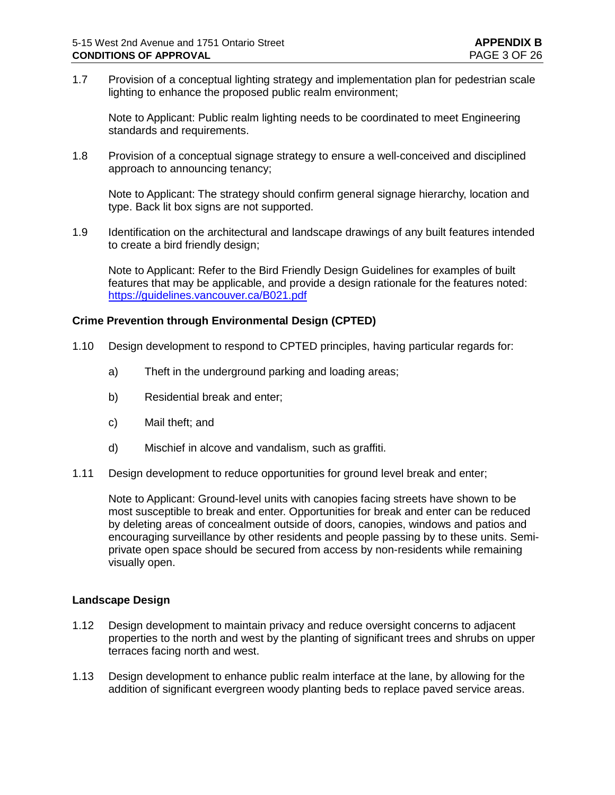1.7 Provision of a conceptual lighting strategy and implementation plan for pedestrian scale lighting to enhance the proposed public realm environment;

Note to Applicant: Public realm lighting needs to be coordinated to meet Engineering standards and requirements.

1.8 Provision of a conceptual signage strategy to ensure a well-conceived and disciplined approach to announcing tenancy;

Note to Applicant: The strategy should confirm general signage hierarchy, location and type. Back lit box signs are not supported.

1.9 Identification on the architectural and landscape drawings of any built features intended to create a bird friendly design;

Note to Applicant: Refer to the Bird Friendly Design Guidelines for examples of built features that may be applicable, and provide a design rationale for the features noted: <https://guidelines.vancouver.ca/B021.pdf>

### **Crime Prevention through Environmental Design (CPTED)**

- 1.10 Design development to respond to CPTED principles, having particular regards for:
	- a) Theft in the underground parking and loading areas;
	- b) Residential break and enter;
	- c) Mail theft; and
	- d) Mischief in alcove and vandalism, such as graffiti.
- 1.11 Design development to reduce opportunities for ground level break and enter;

Note to Applicant: Ground-level units with canopies facing streets have shown to be most susceptible to break and enter. Opportunities for break and enter can be reduced by deleting areas of concealment outside of doors, canopies, windows and patios and encouraging surveillance by other residents and people passing by to these units. Semiprivate open space should be secured from access by non-residents while remaining visually open.

#### **Landscape Design**

- 1.12 Design development to maintain privacy and reduce oversight concerns to adjacent properties to the north and west by the planting of significant trees and shrubs on upper terraces facing north and west.
- 1.13 Design development to enhance public realm interface at the lane, by allowing for the addition of significant evergreen woody planting beds to replace paved service areas.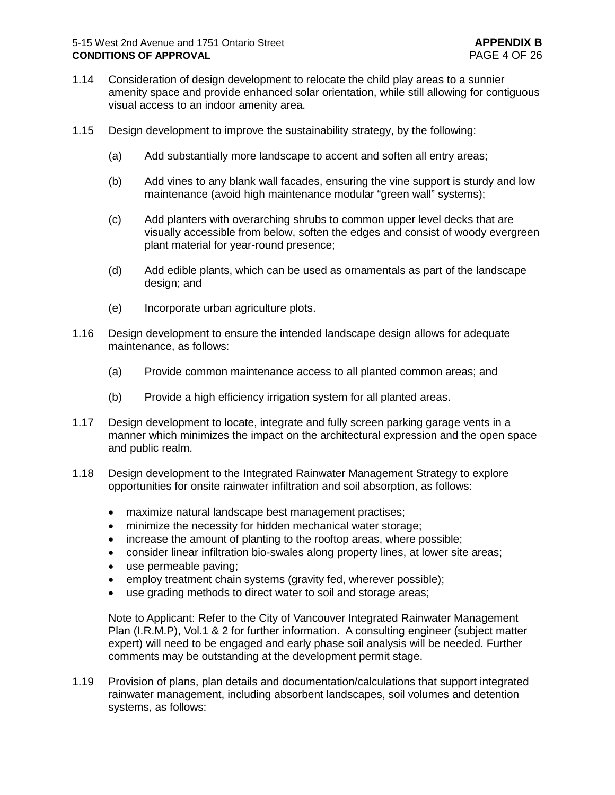- 1.14 Consideration of design development to relocate the child play areas to a sunnier amenity space and provide enhanced solar orientation, while still allowing for contiguous visual access to an indoor amenity area.
- 1.15 Design development to improve the sustainability strategy, by the following:
	- (a) Add substantially more landscape to accent and soften all entry areas;
	- (b) Add vines to any blank wall facades, ensuring the vine support is sturdy and low maintenance (avoid high maintenance modular "green wall" systems):
	- (c) Add planters with overarching shrubs to common upper level decks that are visually accessible from below, soften the edges and consist of woody evergreen plant material for year-round presence;
	- (d) Add edible plants, which can be used as ornamentals as part of the landscape design; and
	- (e) Incorporate urban agriculture plots.
- 1.16 Design development to ensure the intended landscape design allows for adequate maintenance, as follows:
	- (a) Provide common maintenance access to all planted common areas; and
	- (b) Provide a high efficiency irrigation system for all planted areas.
- 1.17 Design development to locate, integrate and fully screen parking garage vents in a manner which minimizes the impact on the architectural expression and the open space and public realm.
- 1.18 Design development to the Integrated Rainwater Management Strategy to explore opportunities for onsite rainwater infiltration and soil absorption, as follows:
	- maximize natural landscape best management practises;
	- minimize the necessity for hidden mechanical water storage;
	- increase the amount of planting to the rooftop areas, where possible;
	- consider linear infiltration bio-swales along property lines, at lower site areas;
	- use permeable paving;
	- employ treatment chain systems (gravity fed, wherever possible);
	- use grading methods to direct water to soil and storage areas;

Note to Applicant: Refer to the City of Vancouver Integrated Rainwater Management Plan (I.R.M.P), Vol.1 & 2 for further information. A consulting engineer (subject matter expert) will need to be engaged and early phase soil analysis will be needed. Further comments may be outstanding at the development permit stage.

1.19 Provision of plans, plan details and documentation/calculations that support integrated rainwater management, including absorbent landscapes, soil volumes and detention systems, as follows: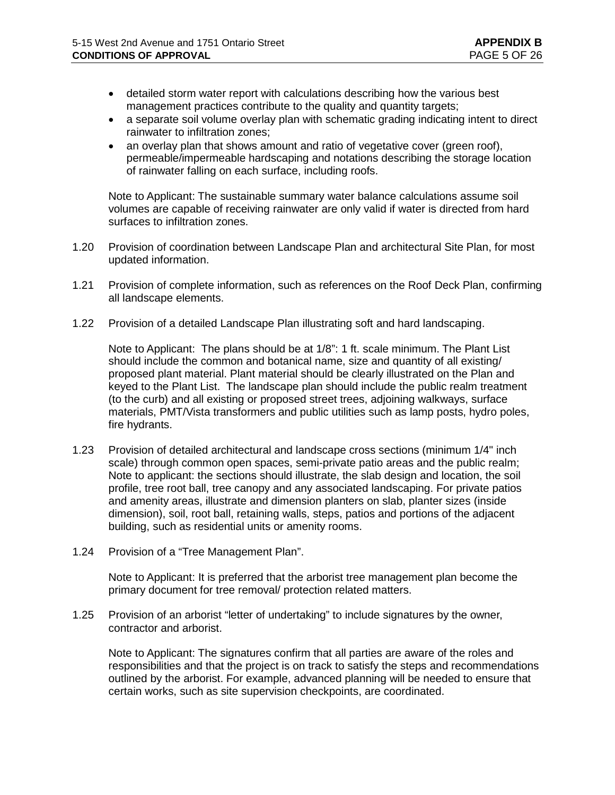- detailed storm water report with calculations describing how the various best management practices contribute to the quality and quantity targets;
- a separate soil volume overlay plan with schematic grading indicating intent to direct rainwater to infiltration zones;
- an overlay plan that shows amount and ratio of vegetative cover (green roof), permeable/impermeable hardscaping and notations describing the storage location of rainwater falling on each surface, including roofs.

Note to Applicant: The sustainable summary water balance calculations assume soil volumes are capable of receiving rainwater are only valid if water is directed from hard surfaces to infiltration zones.

- 1.20 Provision of coordination between Landscape Plan and architectural Site Plan, for most updated information.
- 1.21 Provision of complete information, such as references on the Roof Deck Plan, confirming all landscape elements.
- 1.22 Provision of a detailed Landscape Plan illustrating soft and hard landscaping.

Note to Applicant:The plans should be at 1/8": 1 ft. scale minimum. The Plant List should include the common and botanical name, size and quantity of all existing/ proposed plant material. Plant material should be clearly illustrated on the Plan and keyed to the Plant List. The landscape plan should include the public realm treatment (to the curb) and all existing or proposed street trees, adjoining walkways, surface materials, PMT/Vista transformers and public utilities such as lamp posts, hydro poles, fire hydrants.

- 1.23 Provision of detailed architectural and landscape cross sections (minimum 1/4" inch scale) through common open spaces, semi-private patio areas and the public realm; Note to applicant: the sections should illustrate, the slab design and location, the soil profile, tree root ball, tree canopy and any associated landscaping. For private patios and amenity areas, illustrate and dimension planters on slab, planter sizes (inside dimension), soil, root ball, retaining walls, steps, patios and portions of the adjacent building, such as residential units or amenity rooms.
- 1.24 Provision of a "Tree Management Plan".

Note to Applicant: It is preferred that the arborist tree management plan become the primary document for tree removal/ protection related matters.

1.25 Provision of an arborist "letter of undertaking" to include signatures by the owner, contractor and arborist.

Note to Applicant: The signatures confirm that all parties are aware of the roles and responsibilities and that the project is on track to satisfy the steps and recommendations outlined by the arborist. For example, advanced planning will be needed to ensure that certain works, such as site supervision checkpoints, are coordinated.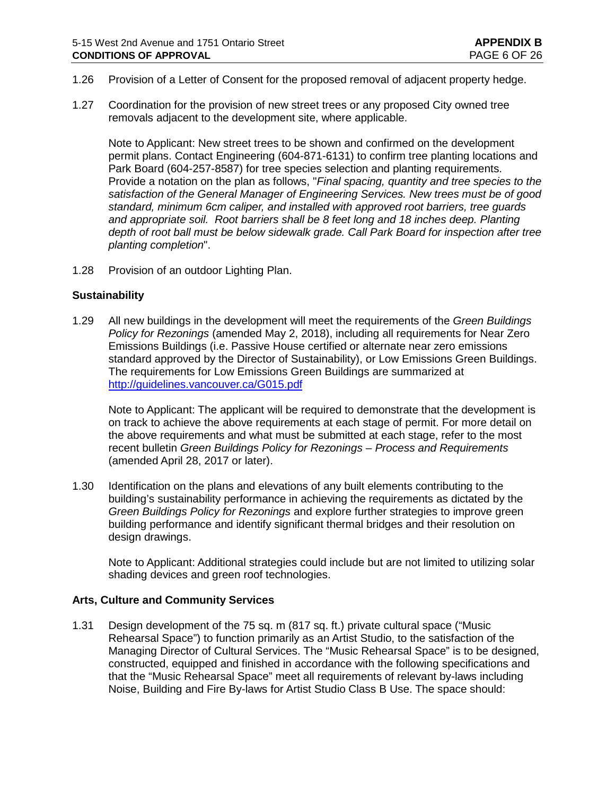- 1.26 Provision of a Letter of Consent for the proposed removal of adjacent property hedge.
- 1.27 Coordination for the provision of new street trees or any proposed City owned tree removals adjacent to the development site, where applicable.

Note to Applicant: New street trees to be shown and confirmed on the development permit plans. Contact Engineering (604-871-6131) to confirm tree planting locations and Park Board (604-257-8587) for tree species selection and planting requirements. Provide a notation on the plan as follows, "*Final spacing, quantity and tree species to the satisfaction of the General Manager of Engineering Services. New trees must be of good standard, minimum 6cm caliper, and installed with approved root barriers, tree guards and appropriate soil. Root barriers shall be 8 feet long and 18 inches deep. Planting depth of root ball must be below sidewalk grade. Call Park Board for inspection after tree planting completion*".

1.28 Provision of an outdoor Lighting Plan.

#### **Sustainability**

1.29 All new buildings in the development will meet the requirements of the *Green Buildings Policy for Rezonings* (amended May 2, 2018), including all requirements for Near Zero Emissions Buildings (i.e. Passive House certified or alternate near zero emissions standard approved by the Director of Sustainability), or Low Emissions Green Buildings. The requirements for Low Emissions Green Buildings are summarized at <http://guidelines.vancouver.ca/G015.pdf>

Note to Applicant: The applicant will be required to demonstrate that the development is on track to achieve the above requirements at each stage of permit. For more detail on the above requirements and what must be submitted at each stage, refer to the most recent bulletin *Green Buildings Policy for Rezonings – Process and Requirements* (amended April 28, 2017 or later).

1.30 Identification on the plans and elevations of any built elements contributing to the building's sustainability performance in achieving the requirements as dictated by the *Green Buildings Policy for Rezonings* and explore further strategies to improve green building performance and identify significant thermal bridges and their resolution on design drawings.

Note to Applicant: Additional strategies could include but are not limited to utilizing solar shading devices and green roof technologies.

#### **Arts, Culture and Community Services**

1.31 Design development of the 75 sq. m (817 sq. ft.) private cultural space ("Music Rehearsal Space") to function primarily as an Artist Studio, to the satisfaction of the Managing Director of Cultural Services. The "Music Rehearsal Space" is to be designed, constructed, equipped and finished in accordance with the following specifications and that the "Music Rehearsal Space" meet all requirements of relevant by-laws including Noise, Building and Fire By-laws for Artist Studio Class B Use. The space should: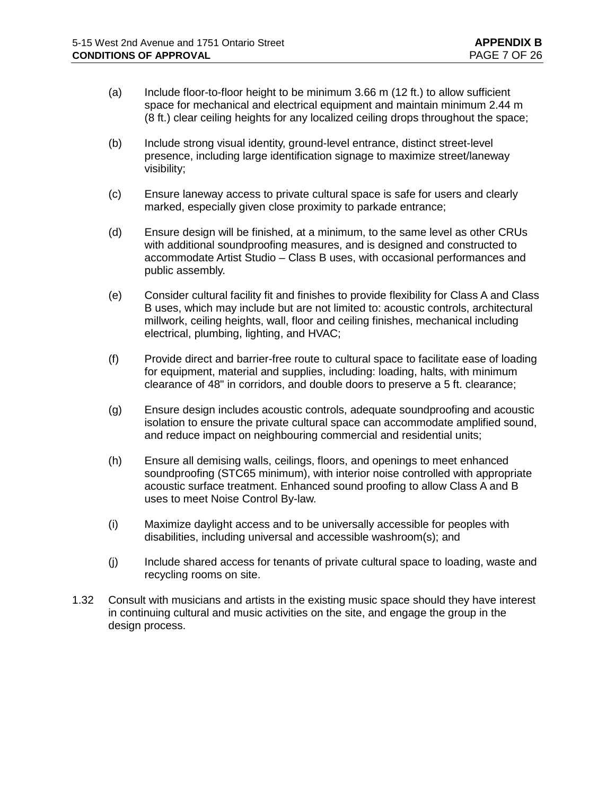- (a) Include floor-to-floor height to be minimum 3.66 m (12 ft.) to allow sufficient space for mechanical and electrical equipment and maintain minimum 2.44 m (8 ft.) clear ceiling heights for any localized ceiling drops throughout the space;
- (b) Include strong visual identity, ground-level entrance, distinct street-level presence, including large identification signage to maximize street/laneway visibility;
- (c) Ensure laneway access to private cultural space is safe for users and clearly marked, especially given close proximity to parkade entrance;
- (d) Ensure design will be finished, at a minimum, to the same level as other CRUs with additional soundproofing measures, and is designed and constructed to accommodate Artist Studio – Class B uses, with occasional performances and public assembly.
- (e) Consider cultural facility fit and finishes to provide flexibility for Class A and Class B uses, which may include but are not limited to: acoustic controls, architectural millwork, ceiling heights, wall, floor and ceiling finishes, mechanical including electrical, plumbing, lighting, and HVAC;
- (f) Provide direct and barrier-free route to cultural space to facilitate ease of loading for equipment, material and supplies, including: loading, halts, with minimum clearance of 48" in corridors, and double doors to preserve a 5 ft. clearance;
- (g) Ensure design includes acoustic controls, adequate soundproofing and acoustic isolation to ensure the private cultural space can accommodate amplified sound, and reduce impact on neighbouring commercial and residential units;
- (h) Ensure all demising walls, ceilings, floors, and openings to meet enhanced soundproofing (STC65 minimum), with interior noise controlled with appropriate acoustic surface treatment. Enhanced sound proofing to allow Class A and B uses to meet Noise Control By-law.
- (i) Maximize daylight access and to be universally accessible for peoples with disabilities, including universal and accessible washroom(s); and
- (j) Include shared access for tenants of private cultural space to loading, waste and recycling rooms on site.
- 1.32 Consult with musicians and artists in the existing music space should they have interest in continuing cultural and music activities on the site, and engage the group in the design process.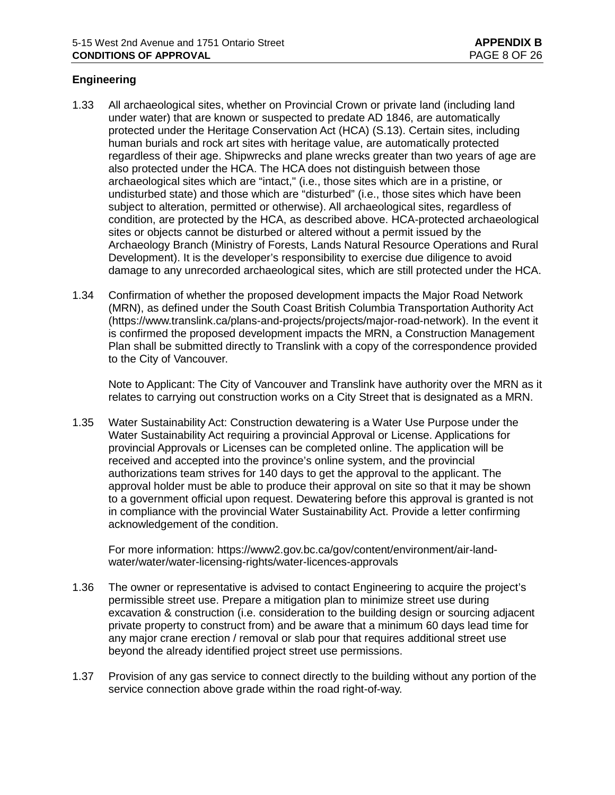# **Engineering**

- 1.33 All archaeological sites, whether on Provincial Crown or private land (including land under water) that are known or suspected to predate AD 1846, are automatically protected under the Heritage Conservation Act (HCA) (S.13). Certain sites, including human burials and rock art sites with heritage value, are automatically protected regardless of their age. Shipwrecks and plane wrecks greater than two years of age are also protected under the HCA. The HCA does not distinguish between those archaeological sites which are "intact," (i.e., those sites which are in a pristine, or undisturbed state) and those which are "disturbed" (i.e., those sites which have been subject to alteration, permitted or otherwise). All archaeological sites, regardless of condition, are protected by the HCA, as described above. HCA-protected archaeological sites or objects cannot be disturbed or altered without a permit issued by the Archaeology Branch (Ministry of Forests, Lands Natural Resource Operations and Rural Development). It is the developer's responsibility to exercise due diligence to avoid damage to any unrecorded archaeological sites, which are still protected under the HCA.
- 1.34 Confirmation of whether the proposed development impacts the Major Road Network (MRN), as defined under the South Coast British Columbia Transportation Authority Act [\(https://www.translink.ca/plans-and-projects/projects/major-road-network\)](https://www.translink.ca/plans-and-projects/projects/major-road-network). In the event it is confirmed the proposed development impacts the MRN, a Construction Management Plan shall be submitted directly to Translink with a copy of the correspondence provided to the City of Vancouver.

Note to Applicant: The City of Vancouver and Translink have authority over the MRN as it relates to carrying out construction works on a City Street that is designated as a MRN.

1.35 Water Sustainability Act: Construction dewatering is a Water Use Purpose under the Water Sustainability Act requiring a provincial Approval or License. Applications for provincial Approvals or Licenses can be completed online. The application will be received and accepted into the province's online system, and the provincial authorizations team strives for 140 days to get the approval to the applicant. The approval holder must be able to produce their approval on site so that it may be shown to a government official upon request. Dewatering before this approval is granted is not in compliance with the provincial Water Sustainability Act. Provide a letter confirming acknowledgement of the condition.

For more information: [https://www2.gov.bc.ca/gov/content/environment/air-land](https://www2.gov.bc.ca/gov/content/environment/air-land-water/water/water-licensing-rights/water-licences-approvals)[water/water/water-licensing-rights/water-licences-approvals](https://www2.gov.bc.ca/gov/content/environment/air-land-water/water/water-licensing-rights/water-licences-approvals)

- 1.36 The owner or representative is advised to contact Engineering to acquire the project's permissible street use. Prepare a mitigation plan to minimize street use during excavation & construction (i.e. consideration to the building design or sourcing adjacent private property to construct from) and be aware that a minimum 60 days lead time for any major crane erection / removal or slab pour that requires additional street use beyond the already identified project street use permissions.
- 1.37 Provision of any gas service to connect directly to the building without any portion of the service connection above grade within the road right-of-way.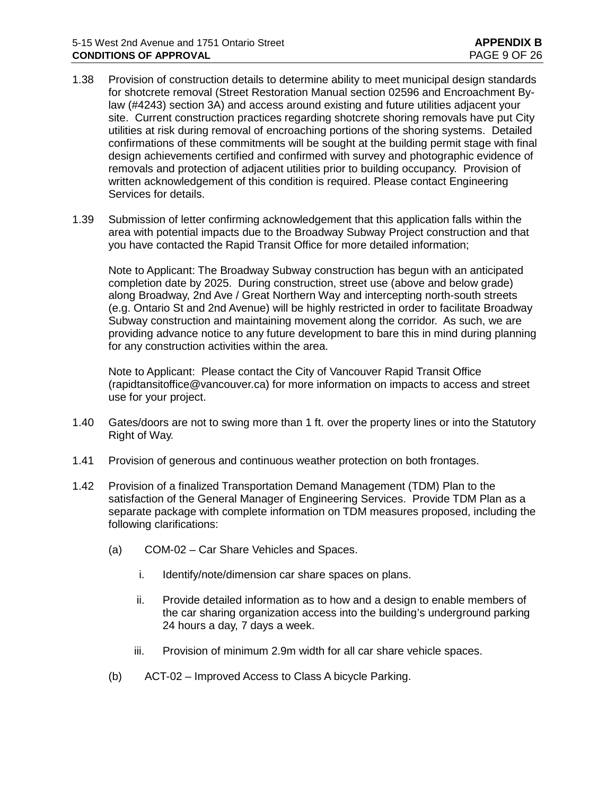- 1.38 Provision of construction details to determine ability to meet municipal design standards for shotcrete removal (Street Restoration Manual section 02596 and Encroachment Bylaw (#4243) section 3A) and access around existing and future utilities adjacent your site. Current construction practices regarding shotcrete shoring removals have put City utilities at risk during removal of encroaching portions of the shoring systems. Detailed confirmations of these commitments will be sought at the building permit stage with final design achievements certified and confirmed with survey and photographic evidence of removals and protection of adjacent utilities prior to building occupancy. Provision of written acknowledgement of this condition is required. Please contact Engineering Services for details.
- 1.39 Submission of letter confirming acknowledgement that this application falls within the area with potential impacts due to the Broadway Subway Project construction and that you have contacted the Rapid Transit Office for more detailed information;

Note to Applicant: The Broadway Subway construction has begun with an anticipated completion date by 2025. During construction, street use (above and below grade) along Broadway, 2nd Ave / Great Northern Way and intercepting north-south streets (e.g. Ontario St and 2nd Avenue) will be highly restricted in order to facilitate Broadway Subway construction and maintaining movement along the corridor. As such, we are providing advance notice to any future development to bare this in mind during planning for any construction activities within the area.

Note to Applicant: Please contact the City of Vancouver Rapid Transit Office [\(rapidtansitoffice@vancouver.ca\)](mailto:rapidtansitoffice@vancouver.ca) for more information on impacts to access and street use for your project.

- 1.40 Gates/doors are not to swing more than 1 ft. over the property lines or into the Statutory Right of Way.
- 1.41 Provision of generous and continuous weather protection on both frontages.
- 1.42 Provision of a finalized Transportation Demand Management (TDM) Plan to the satisfaction of the General Manager of Engineering Services. Provide TDM Plan as a separate package with complete information on TDM measures proposed, including the following clarifications:
	- (a) COM-02 Car Share Vehicles and Spaces.
		- i. Identify/note/dimension car share spaces on plans.
		- ii. Provide detailed information as to how and a design to enable members of the car sharing organization access into the building's underground parking 24 hours a day, 7 days a week.
		- iii. Provision of minimum 2.9m width for all car share vehicle spaces.
	- (b) ACT-02 Improved Access to Class A bicycle Parking.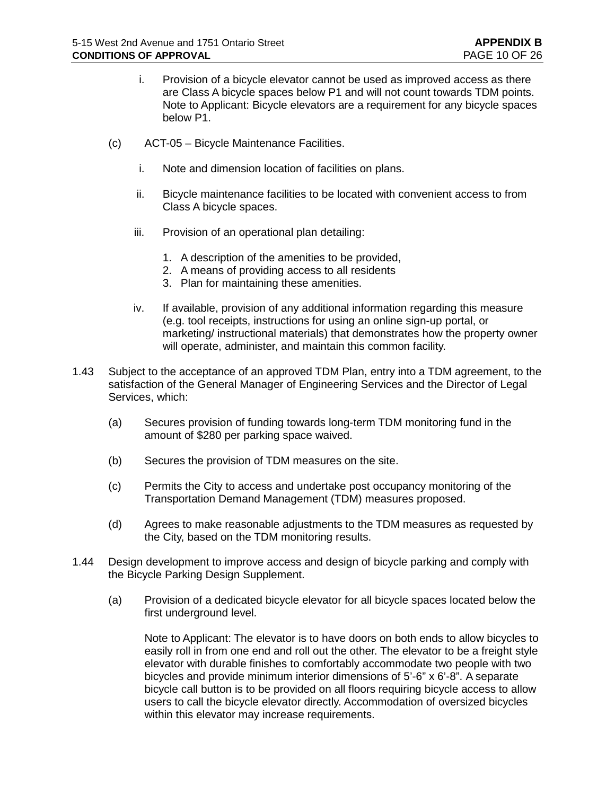- i. Provision of a bicycle elevator cannot be used as improved access as there are Class A bicycle spaces below P1 and will not count towards TDM points. Note to Applicant: Bicycle elevators are a requirement for any bicycle spaces below P1.
- (c) ACT-05 Bicycle Maintenance Facilities.
	- i. Note and dimension location of facilities on plans.
	- ii. Bicycle maintenance facilities to be located with convenient access to from Class A bicycle spaces.
	- iii. Provision of an operational plan detailing:
		- 1. A description of the amenities to be provided,
		- 2. A means of providing access to all residents
		- 3. Plan for maintaining these amenities.
	- iv. If available, provision of any additional information regarding this measure (e.g. tool receipts, instructions for using an online sign-up portal, or marketing/ instructional materials) that demonstrates how the property owner will operate, administer, and maintain this common facility.
- 1.43 Subject to the acceptance of an approved TDM Plan, entry into a TDM agreement, to the satisfaction of the General Manager of Engineering Services and the Director of Legal Services, which:
	- (a) Secures provision of funding towards long-term TDM monitoring fund in the amount of \$280 per parking space waived.
	- (b) Secures the provision of TDM measures on the site.
	- (c) Permits the City to access and undertake post occupancy monitoring of the Transportation Demand Management (TDM) measures proposed.
	- (d) Agrees to make reasonable adjustments to the TDM measures as requested by the City, based on the TDM monitoring results.
- 1.44 Design development to improve access and design of bicycle parking and comply with the Bicycle Parking Design Supplement.
	- (a) Provision of a dedicated bicycle elevator for all bicycle spaces located below the first underground level.

Note to Applicant: The elevator is to have doors on both ends to allow bicycles to easily roll in from one end and roll out the other. The elevator to be a freight style elevator with durable finishes to comfortably accommodate two people with two bicycles and provide minimum interior dimensions of 5'-6" x 6'-8". A separate bicycle call button is to be provided on all floors requiring bicycle access to allow users to call the bicycle elevator directly. Accommodation of oversized bicycles within this elevator may increase requirements.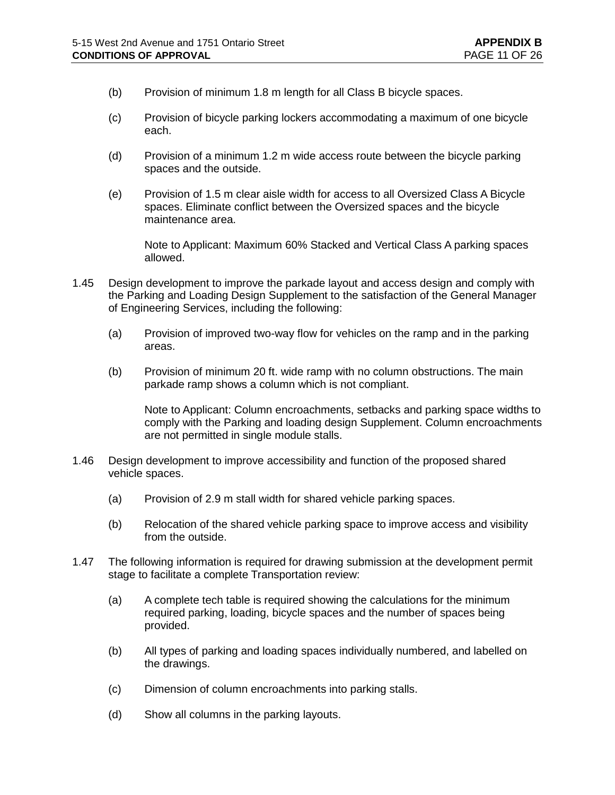- (b) Provision of minimum 1.8 m length for all Class B bicycle spaces.
- (c) Provision of bicycle parking lockers accommodating a maximum of one bicycle each.
- (d) Provision of a minimum 1.2 m wide access route between the bicycle parking spaces and the outside.
- (e) Provision of 1.5 m clear aisle width for access to all Oversized Class A Bicycle spaces. Eliminate conflict between the Oversized spaces and the bicycle maintenance area.

Note to Applicant: Maximum 60% Stacked and Vertical Class A parking spaces allowed.

- 1.45 Design development to improve the parkade layout and access design and comply with the Parking and Loading Design Supplement to the satisfaction of the General Manager of Engineering Services, including the following:
	- (a) Provision of improved two-way flow for vehicles on the ramp and in the parking areas.
	- (b) Provision of minimum 20 ft. wide ramp with no column obstructions. The main parkade ramp shows a column which is not compliant.

Note to Applicant: Column encroachments, setbacks and parking space widths to comply with the Parking and loading design Supplement. Column encroachments are not permitted in single module stalls.

- 1.46 Design development to improve accessibility and function of the proposed shared vehicle spaces.
	- (a) Provision of 2.9 m stall width for shared vehicle parking spaces.
	- (b) Relocation of the shared vehicle parking space to improve access and visibility from the outside.
- 1.47 The following information is required for drawing submission at the development permit stage to facilitate a complete Transportation review:
	- (a) A complete tech table is required showing the calculations for the minimum required parking, loading, bicycle spaces and the number of spaces being provided.
	- (b) All types of parking and loading spaces individually numbered, and labelled on the drawings.
	- (c) Dimension of column encroachments into parking stalls.
	- (d) Show all columns in the parking layouts.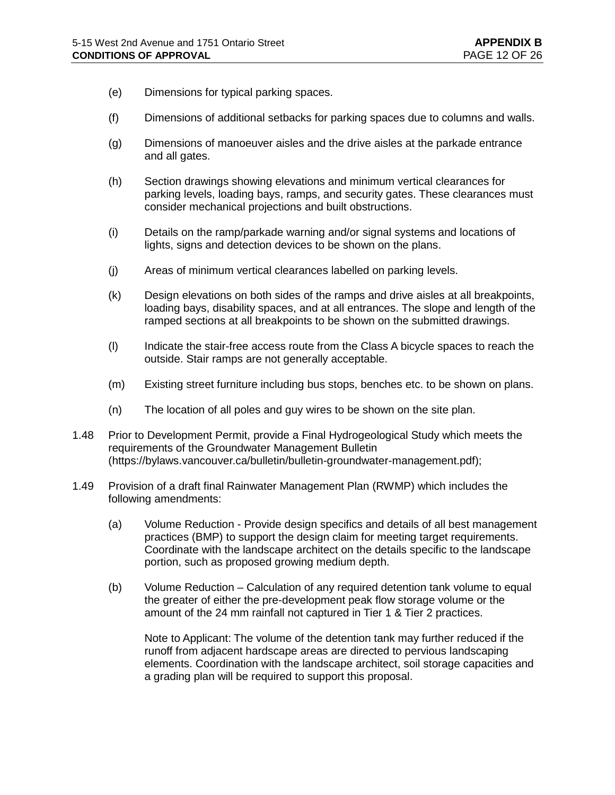- (e) Dimensions for typical parking spaces.
- (f) Dimensions of additional setbacks for parking spaces due to columns and walls.
- (g) Dimensions of manoeuver aisles and the drive aisles at the parkade entrance and all gates.
- (h) Section drawings showing elevations and minimum vertical clearances for parking levels, loading bays, ramps, and security gates. These clearances must consider mechanical projections and built obstructions.
- (i) Details on the ramp/parkade warning and/or signal systems and locations of lights, signs and detection devices to be shown on the plans.
- (j) Areas of minimum vertical clearances labelled on parking levels.
- (k) Design elevations on both sides of the ramps and drive aisles at all breakpoints, loading bays, disability spaces, and at all entrances. The slope and length of the ramped sections at all breakpoints to be shown on the submitted drawings.
- (l) Indicate the stair-free access route from the Class A bicycle spaces to reach the outside. Stair ramps are not generally acceptable.
- (m) Existing street furniture including bus stops, benches etc. to be shown on plans.
- (n) The location of all poles and guy wires to be shown on the site plan.
- 1.48 Prior to Development Permit, provide a Final Hydrogeological Study which meets the requirements of the Groundwater Management Bulletin [\(https://bylaws.vancouver.ca/bulletin/bulletin-groundwater-management.pdf\)](https://bylaws.vancouver.ca/bulletin/bulletin-groundwater-management.pdf);
- 1.49 Provision of a draft final Rainwater Management Plan (RWMP) which includes the following amendments:
	- (a) Volume Reduction Provide design specifics and details of all best management practices (BMP) to support the design claim for meeting target requirements. Coordinate with the landscape architect on the details specific to the landscape portion, such as proposed growing medium depth.
	- (b) Volume Reduction Calculation of any required detention tank volume to equal the greater of either the pre-development peak flow storage volume or the amount of the 24 mm rainfall not captured in Tier 1 & Tier 2 practices.

Note to Applicant: The volume of the detention tank may further reduced if the runoff from adjacent hardscape areas are directed to pervious landscaping elements. Coordination with the landscape architect, soil storage capacities and a grading plan will be required to support this proposal.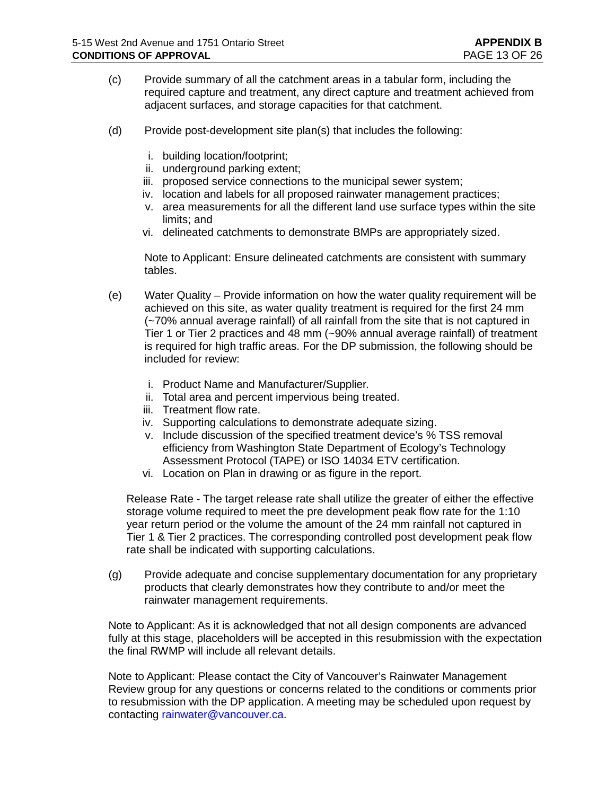- (c) Provide summary of all the catchment areas in a tabular form, including the required capture and treatment, any direct capture and treatment achieved from adjacent surfaces, and storage capacities for that catchment.
- (d) Provide post-development site plan(s) that includes the following:
	- i. building location/footprint;
	- ii. underground parking extent;
	- iii. proposed service connections to the municipal sewer system;
	- iv. location and labels for all proposed rainwater management practices;
	- v. area measurements for all the different land use surface types within the site limits; and
	- vi. delineated catchments to demonstrate BMPs are appropriately sized.

Note to Applicant: Ensure delineated catchments are consistent with summary tables.

- (e) Water Quality Provide information on how the water quality requirement will be achieved on this site, as water quality treatment is required for the first 24 mm (~70% annual average rainfall) of all rainfall from the site that is not captured in Tier 1 or Tier 2 practices and 48 mm (~90% annual average rainfall) of treatment is required for high traffic areas. For the DP submission, the following should be included for review:
	- i. Product Name and Manufacturer/Supplier.
	- ii. Total area and percent impervious being treated.
	- iii. Treatment flow rate.
	- iv. Supporting calculations to demonstrate adequate sizing.
	- v. Include discussion of the specified treatment device's % TSS removal efficiency from Washington State Department of Ecology's Technology Assessment Protocol (TAPE) or ISO 14034 ETV certification.
	- vi. Location on Plan in drawing or as figure in the report.

Release Rate - The target release rate shall utilize the greater of either the effective storage volume required to meet the pre development peak flow rate for the 1:10 year return period or the volume the amount of the 24 mm rainfall not captured in Tier 1 & Tier 2 practices. The corresponding controlled post development peak flow rate shall be indicated with supporting calculations.

(g) Provide adequate and concise supplementary documentation for any proprietary products that clearly demonstrates how they contribute to and/or meet the rainwater management requirements.

Note to Applicant: As it is acknowledged that not all design components are advanced fully at this stage, placeholders will be accepted in this resubmission with the expectation the final RWMP will include all relevant details.

Note to Applicant: Please contact the City of Vancouver's Rainwater Management Review group for any questions or concerns related to the conditions or comments prior to resubmission with the DP application. A meeting may be scheduled upon request by contacting [rainwater@vancouver.ca.](mailto:rainwater@vancouver.ca)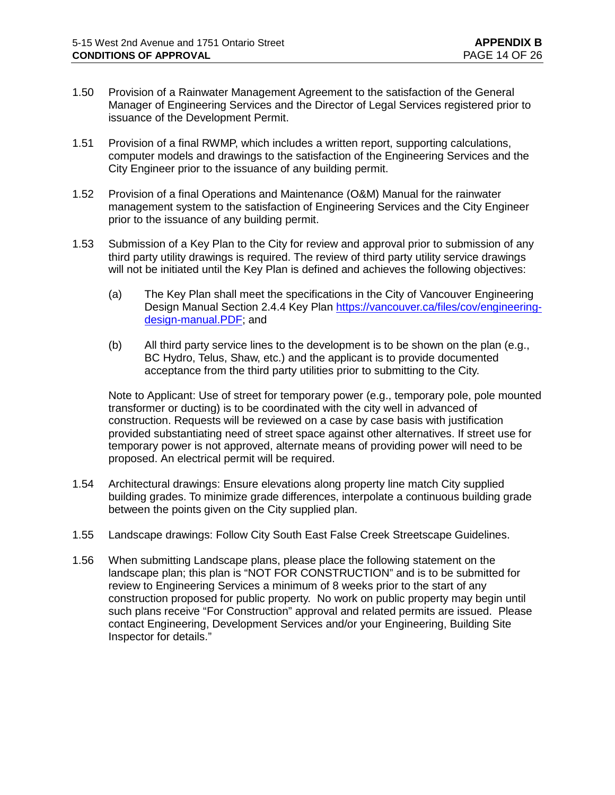- 1.50 Provision of a Rainwater Management Agreement to the satisfaction of the General Manager of Engineering Services and the Director of Legal Services registered prior to issuance of the Development Permit.
- 1.51 Provision of a final RWMP, which includes a written report, supporting calculations, computer models and drawings to the satisfaction of the Engineering Services and the City Engineer prior to the issuance of any building permit.
- 1.52 Provision of a final Operations and Maintenance (O&M) Manual for the rainwater management system to the satisfaction of Engineering Services and the City Engineer prior to the issuance of any building permit.
- 1.53 Submission of a Key Plan to the City for review and approval prior to submission of any third party utility drawings is required. The review of third party utility service drawings will not be initiated until the Key Plan is defined and achieves the following objectives:
	- (a) The Key Plan shall meet the specifications in the City of Vancouver Engineering Design Manual Section 2.4.4 Key Plan [https://vancouver.ca/files/cov/engineering](https://vancouver.ca/files/cov/engineering-design-manual.PDF)[design-manual.PDF;](https://vancouver.ca/files/cov/engineering-design-manual.PDF) and
	- (b) All third party service lines to the development is to be shown on the plan (e.g., BC Hydro, Telus, Shaw, etc.) and the applicant is to provide documented acceptance from the third party utilities prior to submitting to the City.

Note to Applicant: Use of street for temporary power (e.g., temporary pole, pole mounted transformer or ducting) is to be coordinated with the city well in advanced of construction. Requests will be reviewed on a case by case basis with justification provided substantiating need of street space against other alternatives. If street use for temporary power is not approved, alternate means of providing power will need to be proposed. An electrical permit will be required.

- 1.54 Architectural drawings: Ensure elevations along property line match City supplied building grades. To minimize grade differences, interpolate a continuous building grade between the points given on the City supplied plan.
- 1.55 Landscape drawings: Follow City South East False Creek Streetscape Guidelines.
- 1.56 When submitting Landscape plans, please place the following statement on the landscape plan; this plan is "NOT FOR CONSTRUCTION" and is to be submitted for review to Engineering Services a minimum of 8 weeks prior to the start of any construction proposed for public property. No work on public property may begin until such plans receive "For Construction" approval and related permits are issued. Please contact Engineering, Development Services and/or your Engineering, Building Site Inspector for details."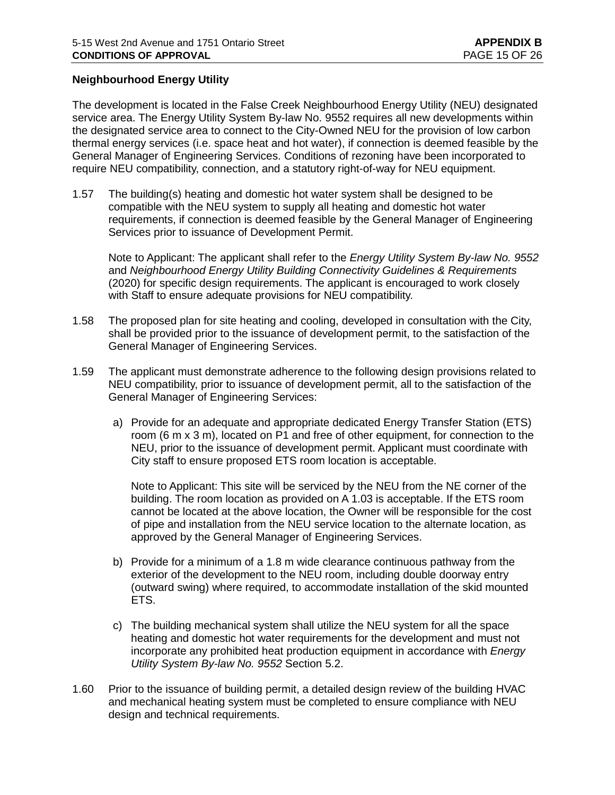## **Neighbourhood Energy Utility**

The development is located in the False Creek Neighbourhood Energy Utility (NEU) designated service area. The Energy Utility System By-law No. 9552 requires all new developments within the designated service area to connect to the City-Owned NEU for the provision of low carbon thermal energy services (i.e. space heat and hot water), if connection is deemed feasible by the General Manager of Engineering Services. Conditions of rezoning have been incorporated to require NEU compatibility, connection, and a statutory right-of-way for NEU equipment.

1.57 The building(s) heating and domestic hot water system shall be designed to be compatible with the NEU system to supply all heating and domestic hot water requirements, if connection is deemed feasible by the General Manager of Engineering Services prior to issuance of Development Permit.

Note to Applicant: The applicant shall refer to the *Energy Utility System By-law No. 9552* and *Neighbourhood Energy Utility Building Connectivity Guidelines & Requirements* (2020) for specific design requirements. The applicant is encouraged to work closely with Staff to ensure adequate provisions for NEU compatibility.

- 1.58 The proposed plan for site heating and cooling, developed in consultation with the City, shall be provided prior to the issuance of development permit, to the satisfaction of the General Manager of Engineering Services.
- 1.59 The applicant must demonstrate adherence to the following design provisions related to NEU compatibility, prior to issuance of development permit, all to the satisfaction of the General Manager of Engineering Services:
	- a) Provide for an adequate and appropriate dedicated Energy Transfer Station (ETS) room (6 m x 3 m), located on P1 and free of other equipment, for connection to the NEU, prior to the issuance of development permit. Applicant must coordinate with City staff to ensure proposed ETS room location is acceptable.

Note to Applicant: This site will be serviced by the NEU from the NE corner of the building. The room location as provided on A 1.03 is acceptable. If the ETS room cannot be located at the above location, the Owner will be responsible for the cost of pipe and installation from the NEU service location to the alternate location, as approved by the General Manager of Engineering Services.

- b) Provide for a minimum of a 1.8 m wide clearance continuous pathway from the exterior of the development to the NEU room, including double doorway entry (outward swing) where required, to accommodate installation of the skid mounted ETS.
- c) The building mechanical system shall utilize the NEU system for all the space heating and domestic hot water requirements for the development and must not incorporate any prohibited heat production equipment in accordance with *Energy Utility System By-law No. 9552* Section 5.2.
- 1.60 Prior to the issuance of building permit, a detailed design review of the building HVAC and mechanical heating system must be completed to ensure compliance with NEU design and technical requirements.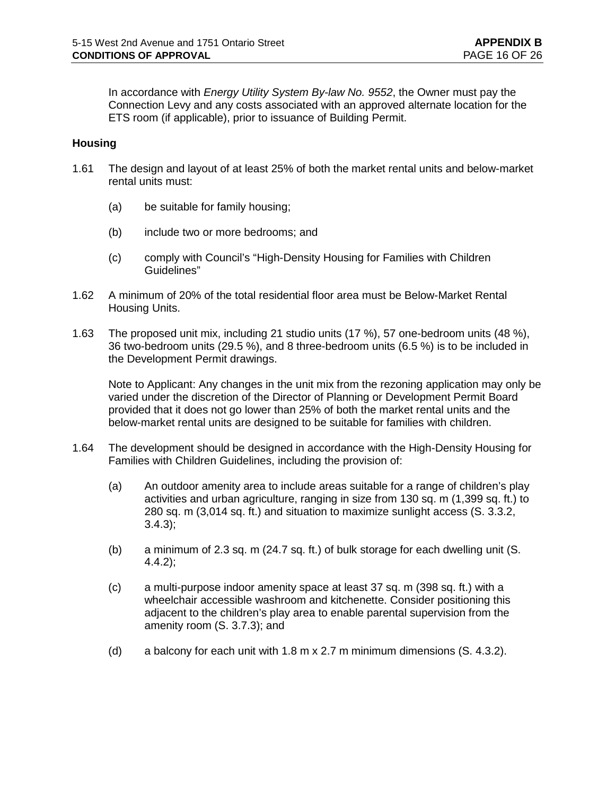In accordance with *Energy Utility System By-law No. 9552*, the Owner must pay the Connection Levy and any costs associated with an approved alternate location for the ETS room (if applicable), prior to issuance of Building Permit.

### **Housing**

- 1.61 The design and layout of at least 25% of both the market rental units and below-market rental units must:
	- (a) be suitable for family housing;
	- (b) include two or more bedrooms; and
	- (c) comply with Council's "High-Density Housing for Families with Children Guidelines"
- 1.62 A minimum of 20% of the total residential floor area must be Below-Market Rental Housing Units.
- 1.63 The proposed unit mix, including 21 studio units (17 %), 57 one-bedroom units (48 %), 36 two-bedroom units (29.5 %), and 8 three-bedroom units (6.5 %) is to be included in the Development Permit drawings.

Note to Applicant: Any changes in the unit mix from the rezoning application may only be varied under the discretion of the Director of Planning or Development Permit Board provided that it does not go lower than 25% of both the market rental units and the below-market rental units are designed to be suitable for families with children.

- 1.64 The development should be designed in accordance with the High-Density Housing for Families with Children Guidelines, including the provision of:
	- (a) An outdoor amenity area to include areas suitable for a range of children's play activities and urban agriculture, ranging in size from 130 sq. m (1,399 sq. ft.) to 280 sq. m (3,014 sq. ft.) and situation to maximize sunlight access (S. 3.3.2, 3.4.3);
	- (b) a minimum of 2.3 sq. m (24.7 sq. ft.) of bulk storage for each dwelling unit (S. 4.4.2);
	- (c) a multi-purpose indoor amenity space at least 37 sq. m (398 sq. ft.) with a wheelchair accessible washroom and kitchenette. Consider positioning this adjacent to the children's play area to enable parental supervision from the amenity room (S. 3.7.3); and
	- (d) a balcony for each unit with 1.8 m x 2.7 m minimum dimensions (S. 4.3.2).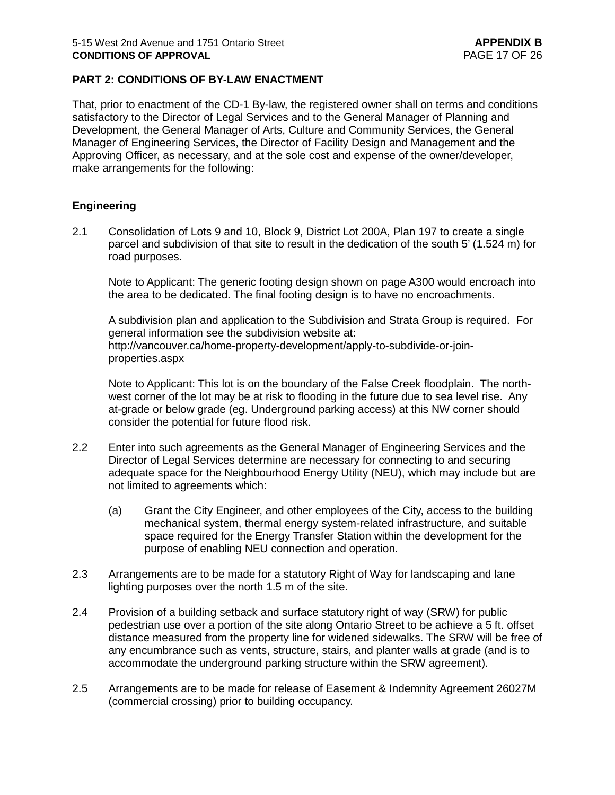# **PART 2: CONDITIONS OF BY-LAW ENACTMENT**

That, prior to enactment of the CD-1 By-law, the registered owner shall on terms and conditions satisfactory to the Director of Legal Services and to the General Manager of Planning and Development, the General Manager of Arts, Culture and Community Services, the General Manager of Engineering Services, the Director of Facility Design and Management and the Approving Officer, as necessary, and at the sole cost and expense of the owner/developer, make arrangements for the following:

### **Engineering**

2.1 Consolidation of Lots 9 and 10, Block 9, District Lot 200A, Plan 197 to create a single parcel and subdivision of that site to result in the dedication of the south 5' (1.524 m) for road purposes.

Note to Applicant: The generic footing design shown on page A300 would encroach into the area to be dedicated. The final footing design is to have no encroachments.

A subdivision plan and application to the Subdivision and Strata Group is required. For general information see the subdivision website at: [http://vancouver.ca/home-property-development/apply-to-subdivide-or-join](http://vancouver.ca/home-property-development/apply-to-subdivide-or-join-properties.aspx)[properties.aspx](http://vancouver.ca/home-property-development/apply-to-subdivide-or-join-properties.aspx)

Note to Applicant: This lot is on the boundary of the False Creek floodplain. The northwest corner of the lot may be at risk to flooding in the future due to sea level rise. Any at-grade or below grade (eg. Underground parking access) at this NW corner should consider the potential for future flood risk.

- 2.2 Enter into such agreements as the General Manager of Engineering Services and the Director of Legal Services determine are necessary for connecting to and securing adequate space for the Neighbourhood Energy Utility (NEU), which may include but are not limited to agreements which:
	- (a) Grant the City Engineer, and other employees of the City, access to the building mechanical system, thermal energy system-related infrastructure, and suitable space required for the Energy Transfer Station within the development for the purpose of enabling NEU connection and operation.
- 2.3 Arrangements are to be made for a statutory Right of Way for landscaping and lane lighting purposes over the north 1.5 m of the site.
- 2.4 Provision of a building setback and surface statutory right of way (SRW) for public pedestrian use over a portion of the site along Ontario Street to be achieve a 5 ft. offset distance measured from the property line for widened sidewalks. The SRW will be free of any encumbrance such as vents, structure, stairs, and planter walls at grade (and is to accommodate the underground parking structure within the SRW agreement).
- 2.5 Arrangements are to be made for release of Easement & Indemnity Agreement 26027M (commercial crossing) prior to building occupancy.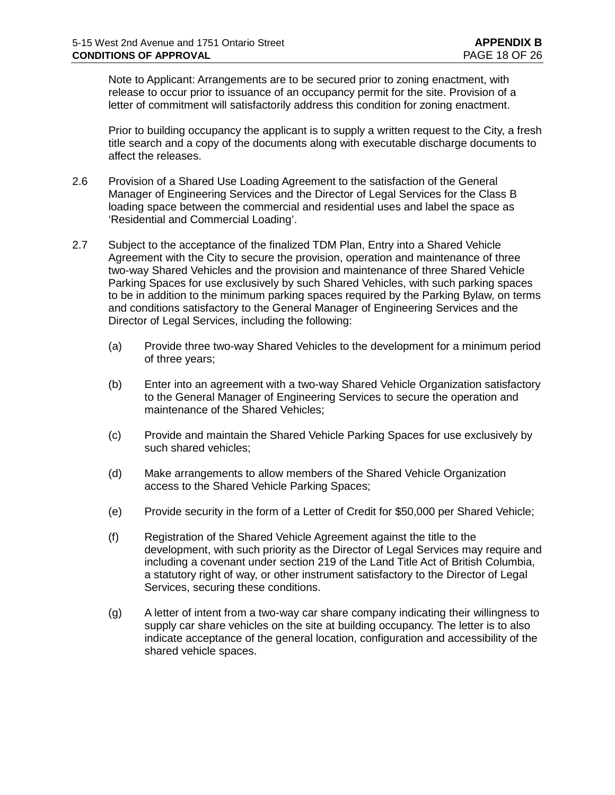Note to Applicant: Arrangements are to be secured prior to zoning enactment, with release to occur prior to issuance of an occupancy permit for the site. Provision of a letter of commitment will satisfactorily address this condition for zoning enactment.

Prior to building occupancy the applicant is to supply a written request to the City, a fresh title search and a copy of the documents along with executable discharge documents to affect the releases.

- 2.6 Provision of a Shared Use Loading Agreement to the satisfaction of the General Manager of Engineering Services and the Director of Legal Services for the Class B loading space between the commercial and residential uses and label the space as 'Residential and Commercial Loading'.
- 2.7 Subject to the acceptance of the finalized TDM Plan, Entry into a Shared Vehicle Agreement with the City to secure the provision, operation and maintenance of three two-way Shared Vehicles and the provision and maintenance of three Shared Vehicle Parking Spaces for use exclusively by such Shared Vehicles, with such parking spaces to be in addition to the minimum parking spaces required by the Parking Bylaw, on terms and conditions satisfactory to the General Manager of Engineering Services and the Director of Legal Services, including the following:
	- (a) Provide three two-way Shared Vehicles to the development for a minimum period of three years;
	- (b) Enter into an agreement with a two-way Shared Vehicle Organization satisfactory to the General Manager of Engineering Services to secure the operation and maintenance of the Shared Vehicles;
	- (c) Provide and maintain the Shared Vehicle Parking Spaces for use exclusively by such shared vehicles;
	- (d) Make arrangements to allow members of the Shared Vehicle Organization access to the Shared Vehicle Parking Spaces;
	- (e) Provide security in the form of a Letter of Credit for \$50,000 per Shared Vehicle;
	- (f) Registration of the Shared Vehicle Agreement against the title to the development, with such priority as the Director of Legal Services may require and including a covenant under section 219 of the Land Title Act of British Columbia, a statutory right of way, or other instrument satisfactory to the Director of Legal Services, securing these conditions.
	- (g) A letter of intent from a two-way car share company indicating their willingness to supply car share vehicles on the site at building occupancy. The letter is to also indicate acceptance of the general location, configuration and accessibility of the shared vehicle spaces.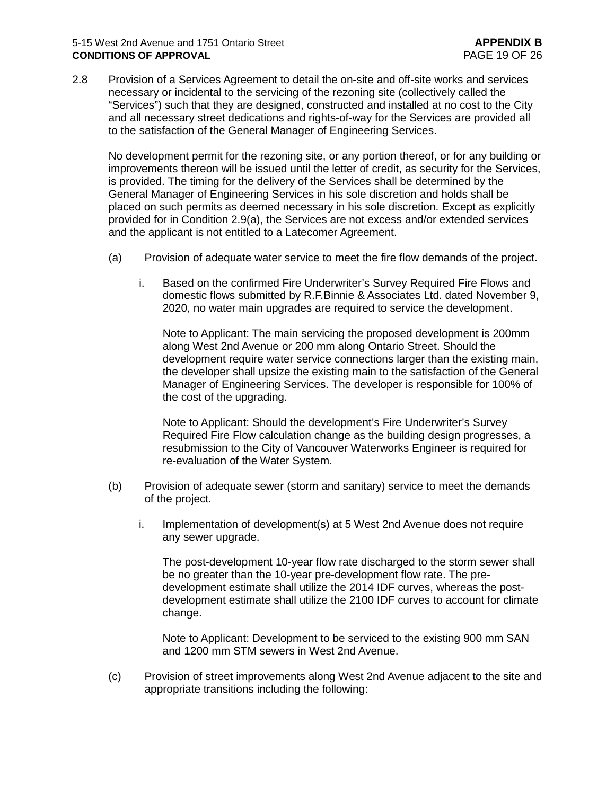2.8 Provision of a Services Agreement to detail the on-site and off-site works and services necessary or incidental to the servicing of the rezoning site (collectively called the "Services") such that they are designed, constructed and installed at no cost to the City and all necessary street dedications and rights-of-way for the Services are provided all to the satisfaction of the General Manager of Engineering Services.

No development permit for the rezoning site, or any portion thereof, or for any building or improvements thereon will be issued until the letter of credit, as security for the Services, is provided. The timing for the delivery of the Services shall be determined by the General Manager of Engineering Services in his sole discretion and holds shall be placed on such permits as deemed necessary in his sole discretion. Except as explicitly provided for in Condition 2.9(a), the Services are not excess and/or extended services and the applicant is not entitled to a Latecomer Agreement.

- (a) Provision of adequate water service to meet the fire flow demands of the project.
	- i. Based on the confirmed Fire Underwriter's Survey Required Fire Flows and domestic flows submitted by R.F.Binnie & Associates Ltd. dated November 9, 2020, no water main upgrades are required to service the development.

Note to Applicant: The main servicing the proposed development is 200mm along West 2nd Avenue or 200 mm along Ontario Street. Should the development require water service connections larger than the existing main, the developer shall upsize the existing main to the satisfaction of the General Manager of Engineering Services. The developer is responsible for 100% of the cost of the upgrading.

Note to Applicant: Should the development's Fire Underwriter's Survey Required Fire Flow calculation change as the building design progresses, a resubmission to the City of Vancouver Waterworks Engineer is required for re-evaluation of the Water System.

- (b) Provision of adequate sewer (storm and sanitary) service to meet the demands of the project.
	- i. Implementation of development(s) at 5 West 2nd Avenue does not require any sewer upgrade.

The post-development 10-year flow rate discharged to the storm sewer shall be no greater than the 10-year pre-development flow rate. The predevelopment estimate shall utilize the 2014 IDF curves, whereas the postdevelopment estimate shall utilize the 2100 IDF curves to account for climate change.

Note to Applicant: Development to be serviced to the existing 900 mm SAN and 1200 mm STM sewers in West 2nd Avenue.

(c) Provision of street improvements along West 2nd Avenue adjacent to the site and appropriate transitions including the following: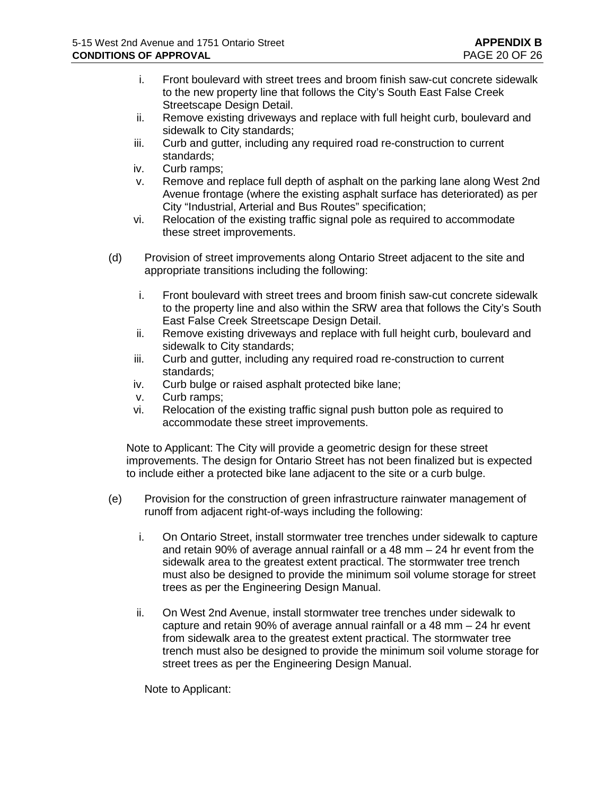- i. Front boulevard with street trees and broom finish saw-cut concrete sidewalk to the new property line that follows the City's South East False Creek Streetscape Design Detail.
- ii. Remove existing driveways and replace with full height curb, boulevard and sidewalk to City standards;
- iii. Curb and gutter, including any required road re-construction to current standards;
- iv. Curb ramps;
- v. Remove and replace full depth of asphalt on the parking lane along West 2nd Avenue frontage (where the existing asphalt surface has deteriorated) as per City "Industrial, Arterial and Bus Routes" specification;
- vi. Relocation of the existing traffic signal pole as required to accommodate these street improvements.
- (d) Provision of street improvements along Ontario Street adjacent to the site and appropriate transitions including the following:
	- i. Front boulevard with street trees and broom finish saw-cut concrete sidewalk to the property line and also within the SRW area that follows the City's South East False Creek Streetscape Design Detail.
	- ii. Remove existing driveways and replace with full height curb, boulevard and sidewalk to City standards;
	- iii. Curb and gutter, including any required road re-construction to current standards;
	- iv. Curb bulge or raised asphalt protected bike lane;
	- v. Curb ramps;
	- vi. Relocation of the existing traffic signal push button pole as required to accommodate these street improvements.

Note to Applicant: The City will provide a geometric design for these street improvements. The design for Ontario Street has not been finalized but is expected to include either a protected bike lane adjacent to the site or a curb bulge.

- (e) Provision for the construction of green infrastructure rainwater management of runoff from adjacent right-of-ways including the following:
	- i. On Ontario Street, install stormwater tree trenches under sidewalk to capture and retain 90% of average annual rainfall or a 48 mm – 24 hr event from the sidewalk area to the greatest extent practical. The stormwater tree trench must also be designed to provide the minimum soil volume storage for street trees as per the Engineering Design Manual.
	- ii. On West 2nd Avenue, install stormwater tree trenches under sidewalk to capture and retain 90% of average annual rainfall or a 48 mm – 24 hr event from sidewalk area to the greatest extent practical. The stormwater tree trench must also be designed to provide the minimum soil volume storage for street trees as per the Engineering Design Manual.

Note to Applicant: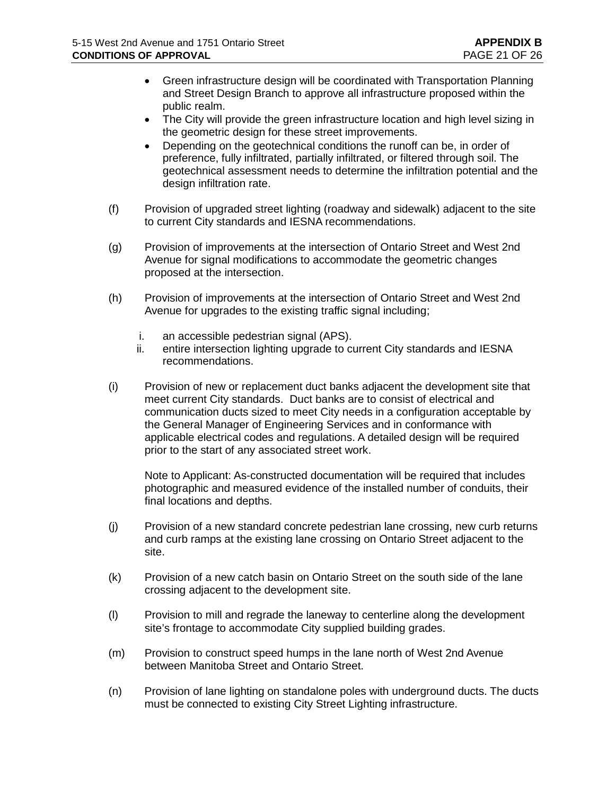- Green infrastructure design will be coordinated with Transportation Planning and Street Design Branch to approve all infrastructure proposed within the public realm.
- The City will provide the green infrastructure location and high level sizing in the geometric design for these street improvements.
- Depending on the geotechnical conditions the runoff can be, in order of preference, fully infiltrated, partially infiltrated, or filtered through soil. The geotechnical assessment needs to determine the infiltration potential and the design infiltration rate.
- (f) Provision of upgraded street lighting (roadway and sidewalk) adjacent to the site to current City standards and IESNA recommendations.
- (g) Provision of improvements at the intersection of Ontario Street and West 2nd Avenue for signal modifications to accommodate the geometric changes proposed at the intersection.
- (h) Provision of improvements at the intersection of Ontario Street and West 2nd Avenue for upgrades to the existing traffic signal including;
	- i. an accessible pedestrian signal (APS).
	- ii. entire intersection lighting upgrade to current City standards and IESNA recommendations.
- (i) Provision of new or replacement duct banks adjacent the development site that meet current City standards. Duct banks are to consist of electrical and communication ducts sized to meet City needs in a configuration acceptable by the General Manager of Engineering Services and in conformance with applicable electrical codes and regulations. A detailed design will be required prior to the start of any associated street work.

Note to Applicant: As-constructed documentation will be required that includes photographic and measured evidence of the installed number of conduits, their final locations and depths.

- (j) Provision of a new standard concrete pedestrian lane crossing, new curb returns and curb ramps at the existing lane crossing on Ontario Street adjacent to the site.
- (k) Provision of a new catch basin on Ontario Street on the south side of the lane crossing adjacent to the development site.
- (l) Provision to mill and regrade the laneway to centerline along the development site's frontage to accommodate City supplied building grades.
- (m) Provision to construct speed humps in the lane north of West 2nd Avenue between Manitoba Street and Ontario Street.
- (n) Provision of lane lighting on standalone poles with underground ducts. The ducts must be connected to existing City Street Lighting infrastructure.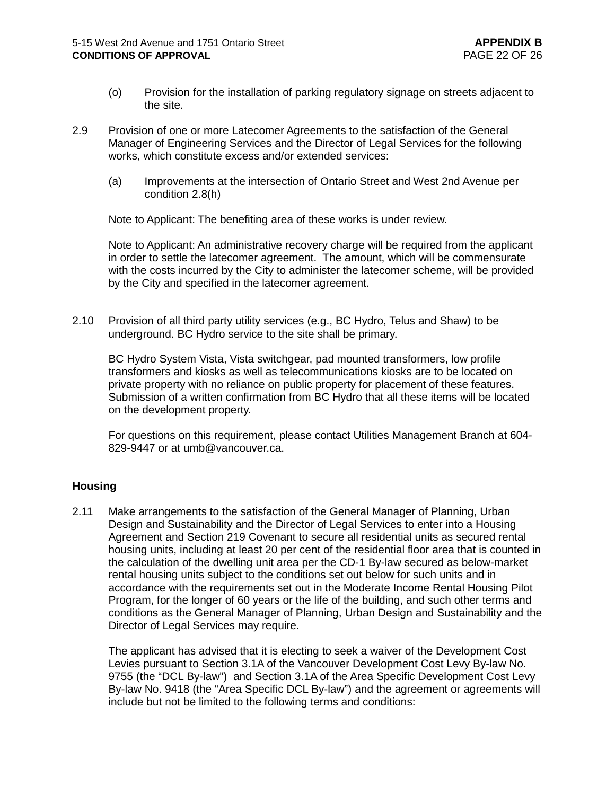- (o) Provision for the installation of parking regulatory signage on streets adjacent to the site.
- 2.9 Provision of one or more Latecomer Agreements to the satisfaction of the General Manager of Engineering Services and the Director of Legal Services for the following works, which constitute excess and/or extended services:
	- (a) Improvements at the intersection of Ontario Street and West 2nd Avenue per condition 2.8(h)

Note to Applicant: The benefiting area of these works is under review.

Note to Applicant: An administrative recovery charge will be required from the applicant in order to settle the latecomer agreement. The amount, which will be commensurate with the costs incurred by the City to administer the latecomer scheme, will be provided by the City and specified in the latecomer agreement.

2.10 Provision of all third party utility services (e.g., BC Hydro, Telus and Shaw) to be underground. BC Hydro service to the site shall be primary.

BC Hydro System Vista, Vista switchgear, pad mounted transformers, low profile transformers and kiosks as well as telecommunications kiosks are to be located on private property with no reliance on public property for placement of these features. Submission of a written confirmation from BC Hydro that all these items will be located on the development property.

For questions on this requirement, please contact Utilities Management Branch at 604- 829-9447 or at [umb@vancouver.ca.](mailto:umb@vancouver.ca)

# **Housing**

2.11 Make arrangements to the satisfaction of the General Manager of Planning, Urban Design and Sustainability and the Director of Legal Services to enter into a Housing Agreement and Section 219 Covenant to secure all residential units as secured rental housing units, including at least 20 per cent of the residential floor area that is counted in the calculation of the dwelling unit area per the CD-1 By-law secured as below-market rental housing units subject to the conditions set out below for such units and in accordance with the requirements set out in the Moderate Income Rental Housing Pilot Program, for the longer of 60 years or the life of the building, and such other terms and conditions as the General Manager of Planning, Urban Design and Sustainability and the Director of Legal Services may require.

The applicant has advised that it is electing to seek a waiver of the Development Cost Levies pursuant to Section 3.1A of the Vancouver Development Cost Levy By-law No. 9755 (the "DCL By-law") and Section 3.1A of the Area Specific Development Cost Levy By-law No. 9418 (the "Area Specific DCL By-law") and the agreement or agreements will include but not be limited to the following terms and conditions: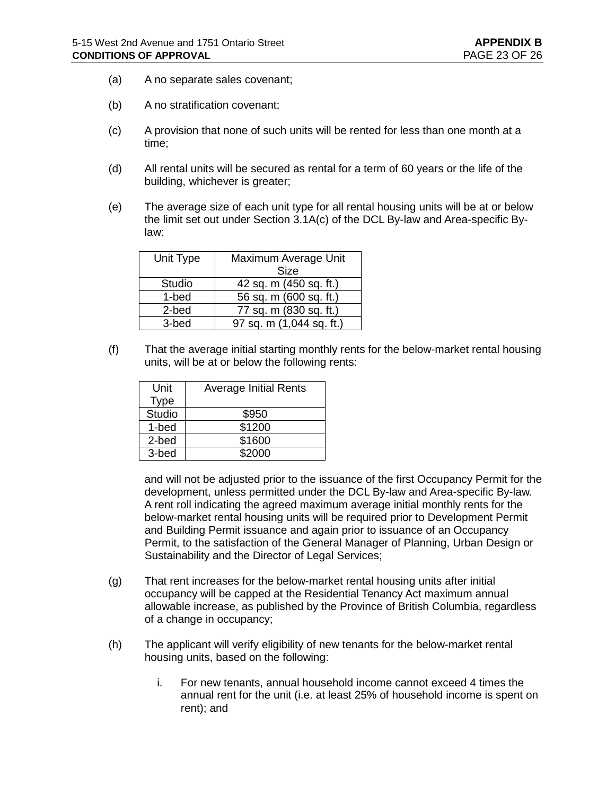- (a) A no separate sales covenant;
- (b) A no stratification covenant;
- (c) A provision that none of such units will be rented for less than one month at a time;
- (d) All rental units will be secured as rental for a term of 60 years or the life of the building, whichever is greater;
- (e) The average size of each unit type for all rental housing units will be at or below the limit set out under Section 3.1A(c) of the DCL By-law and Area-specific Bylaw:

| Unit Type     | Maximum Average Unit     |  |
|---------------|--------------------------|--|
|               | <b>Size</b>              |  |
| <b>Studio</b> | 42 sq. m (450 sq. ft.)   |  |
| 1-bed         | 56 sq. m (600 sq. ft.)   |  |
| 2-bed         | 77 sq. m (830 sq. ft.)   |  |
| 3-bed         | 97 sq. m (1,044 sq. ft.) |  |

(f) That the average initial starting monthly rents for the below-market rental housing units, will be at or below the following rents:

| Unit   | <b>Average Initial Rents</b> |
|--------|------------------------------|
| Type   |                              |
| Studio | \$950                        |
| 1-bed  | \$1200                       |
| 2-bed  | \$1600                       |
| 3-bed  | \$2000                       |

and will not be adjusted prior to the issuance of the first Occupancy Permit for the development, unless permitted under the DCL By-law and Area-specific By-law. A rent roll indicating the agreed maximum average initial monthly rents for the below-market rental housing units will be required prior to Development Permit and Building Permit issuance and again prior to issuance of an Occupancy Permit, to the satisfaction of the General Manager of Planning, Urban Design or Sustainability and the Director of Legal Services;

- (g) That rent increases for the below-market rental housing units after initial occupancy will be capped at the Residential Tenancy Act maximum annual allowable increase, as published by the Province of British Columbia, regardless of a change in occupancy;
- (h) The applicant will verify eligibility of new tenants for the below-market rental housing units, based on the following:
	- i. For new tenants, annual household income cannot exceed 4 times the annual rent for the unit (i.e. at least 25% of household income is spent on rent); and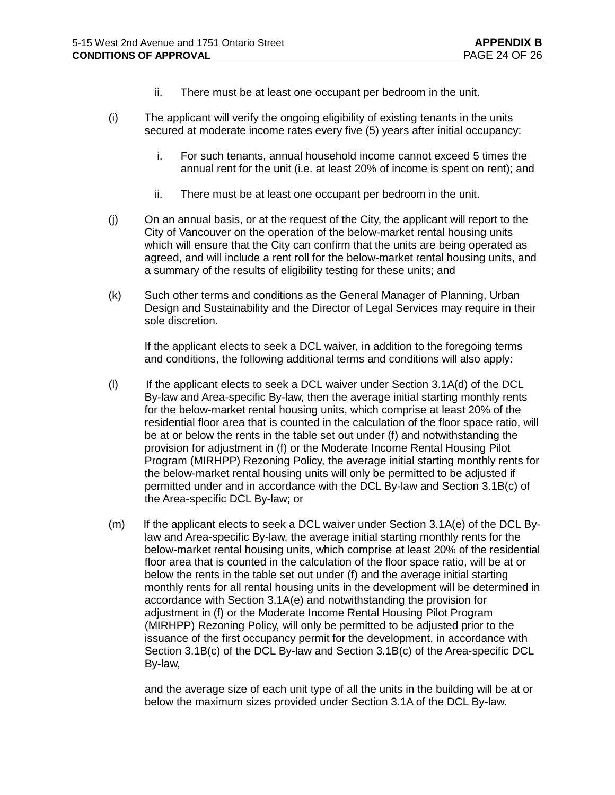- ii. There must be at least one occupant per bedroom in the unit.
- (i) The applicant will verify the ongoing eligibility of existing tenants in the units secured at moderate income rates every five (5) years after initial occupancy:
	- i. For such tenants, annual household income cannot exceed 5 times the annual rent for the unit (i.e. at least 20% of income is spent on rent); and
	- ii. There must be at least one occupant per bedroom in the unit.
- (j) On an annual basis, or at the request of the City, the applicant will report to the City of Vancouver on the operation of the below-market rental housing units which will ensure that the City can confirm that the units are being operated as agreed, and will include a rent roll for the below-market rental housing units, and a summary of the results of eligibility testing for these units; and
- (k) Such other terms and conditions as the General Manager of Planning, Urban Design and Sustainability and the Director of Legal Services may require in their sole discretion.

If the applicant elects to seek a DCL waiver, in addition to the foregoing terms and conditions, the following additional terms and conditions will also apply:

- (l) If the applicant elects to seek a DCL waiver under Section 3.1A(d) of the DCL By-law and Area-specific By-law, then the average initial starting monthly rents for the below-market rental housing units, which comprise at least 20% of the residential floor area that is counted in the calculation of the floor space ratio, will be at or below the rents in the table set out under (f) and notwithstanding the provision for adjustment in (f) or the Moderate Income Rental Housing Pilot Program (MIRHPP) Rezoning Policy, the average initial starting monthly rents for the below-market rental housing units will only be permitted to be adjusted if permitted under and in accordance with the DCL By-law and Section 3.1B(c) of the Area-specific DCL By-law; or
- (m) If the applicant elects to seek a DCL waiver under Section 3.1A(e) of the DCL Bylaw and Area-specific By-law, the average initial starting monthly rents for the below-market rental housing units, which comprise at least 20% of the residential floor area that is counted in the calculation of the floor space ratio, will be at or below the rents in the table set out under (f) and the average initial starting monthly rents for all rental housing units in the development will be determined in accordance with Section 3.1A(e) and notwithstanding the provision for adjustment in (f) or the Moderate Income Rental Housing Pilot Program (MIRHPP) Rezoning Policy, will only be permitted to be adjusted prior to the issuance of the first occupancy permit for the development, in accordance with Section 3.1B(c) of the DCL By-law and Section 3.1B(c) of the Area-specific DCL By-law,

and the average size of each unit type of all the units in the building will be at or below the maximum sizes provided under Section 3.1A of the DCL By-law.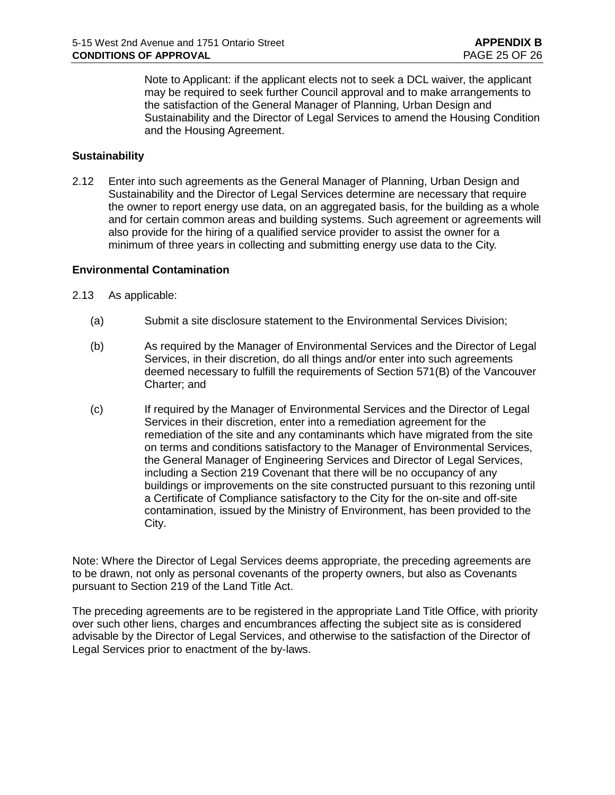Note to Applicant: if the applicant elects not to seek a DCL waiver, the applicant may be required to seek further Council approval and to make arrangements to the satisfaction of the General Manager of Planning, Urban Design and Sustainability and the Director of Legal Services to amend the Housing Condition and the Housing Agreement.

## **Sustainability**

2.12 Enter into such agreements as the General Manager of Planning, Urban Design and Sustainability and the Director of Legal Services determine are necessary that require the owner to report energy use data, on an aggregated basis, for the building as a whole and for certain common areas and building systems. Such agreement or agreements will also provide for the hiring of a qualified service provider to assist the owner for a minimum of three years in collecting and submitting energy use data to the City.

### **Environmental Contamination**

- 2.13 As applicable:
	- (a) Submit a site disclosure statement to the Environmental Services Division;
	- (b) As required by the Manager of Environmental Services and the Director of Legal Services, in their discretion, do all things and/or enter into such agreements deemed necessary to fulfill the requirements of Section 571(B) of the Vancouver Charter; and
	- (c) If required by the Manager of Environmental Services and the Director of Legal Services in their discretion, enter into a remediation agreement for the remediation of the site and any contaminants which have migrated from the site on terms and conditions satisfactory to the Manager of Environmental Services, the General Manager of Engineering Services and Director of Legal Services, including a Section 219 Covenant that there will be no occupancy of any buildings or improvements on the site constructed pursuant to this rezoning until a Certificate of Compliance satisfactory to the City for the on-site and off-site contamination, issued by the Ministry of Environment, has been provided to the City.

Note: Where the Director of Legal Services deems appropriate, the preceding agreements are to be drawn, not only as personal covenants of the property owners, but also as Covenants pursuant to Section 219 of the Land Title Act.

The preceding agreements are to be registered in the appropriate Land Title Office, with priority over such other liens, charges and encumbrances affecting the subject site as is considered advisable by the Director of Legal Services, and otherwise to the satisfaction of the Director of Legal Services prior to enactment of the by-laws.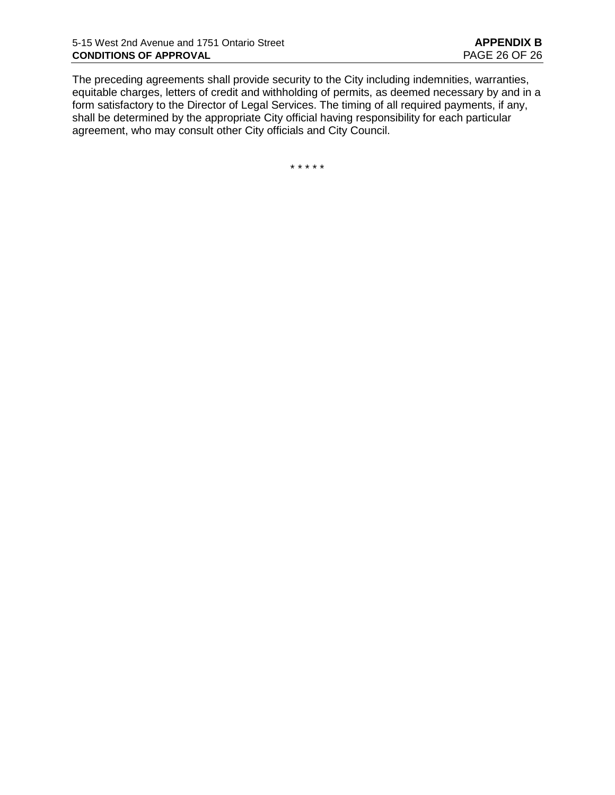The preceding agreements shall provide security to the City including indemnities, warranties, equitable charges, letters of credit and withholding of permits, as deemed necessary by and in a form satisfactory to the Director of Legal Services. The timing of all required payments, if any, shall be determined by the appropriate City official having responsibility for each particular agreement, who may consult other City officials and City Council.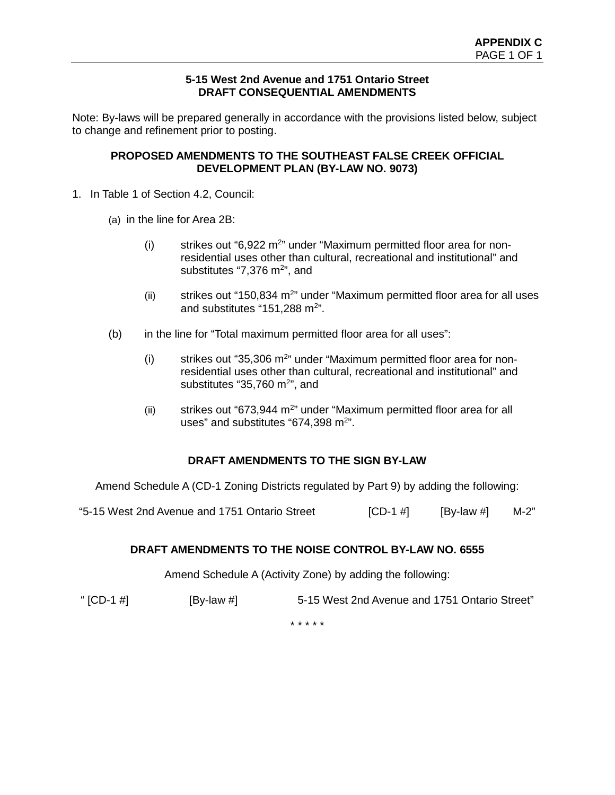### **5-15 West 2nd Avenue and 1751 Ontario Street DRAFT CONSEQUENTIAL AMENDMENTS**

Note: By-laws will be prepared generally in accordance with the provisions listed below, subject to change and refinement prior to posting.

### **PROPOSED AMENDMENTS TO THE SOUTHEAST FALSE CREEK OFFICIAL DEVELOPMENT PLAN (BY-LAW NO. 9073)**

- 1. In Table 1 of Section 4.2, Council:
	- (a) in the line for Area 2B:
		- $(i)$  strikes out "6,922 m<sup>2</sup>" under "Maximum permitted floor area for nonresidential uses other than cultural, recreational and institutional" and substitutes "7,376 m<sup>2</sup>", and
		- (ii) strikes out "150,834  $m<sup>2</sup>$ " under "Maximum permitted floor area for all uses and substitutes "151,288 m<sup>2</sup>".
	- (b) in the line for "Total maximum permitted floor area for all uses":
		- $(i)$  strikes out "35,306 m<sup>2</sup>" under "Maximum permitted floor area for nonresidential uses other than cultural, recreational and institutional" and substitutes "35,760 m $^{2}$ ", and
		- (ii) strikes out "673,944 m<sup>2</sup>" under "Maximum permitted floor area for all uses" and substitutes "674,398  $m<sup>2</sup>$ ".

# **DRAFT AMENDMENTS TO THE SIGN BY-LAW**

Amend Schedule A (CD-1 Zoning Districts regulated by Part 9) by adding the following:

"5-15 West 2nd Avenue and 1751 Ontario Street  $[CD-1 \; #]$  [By-law #] M-2"

# **DRAFT AMENDMENTS TO THE NOISE CONTROL BY-LAW NO. 6555**

Amend Schedule A (Activity Zone) by adding the following:

" [CD-1 #] [By-law #] 5-15 West 2nd Avenue and 1751 Ontario Street"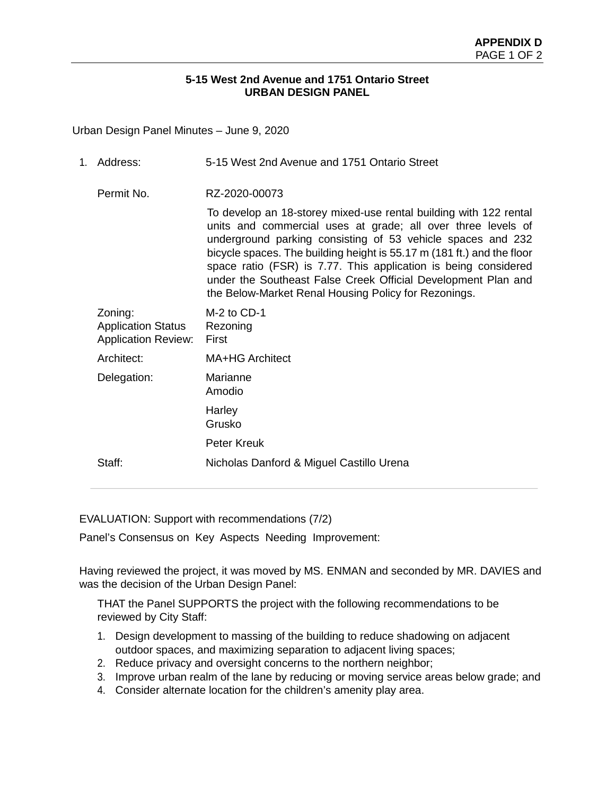### **5-15 West 2nd Avenue and 1751 Ontario Street URBAN DESIGN PANEL**

Urban Design Panel Minutes – June 9, 2020

| 1. | Address:                                                           | 5-15 West 2nd Avenue and 1751 Ontario Street                                                                                                                                                                                                                                                                                                                                                                                                                           |
|----|--------------------------------------------------------------------|------------------------------------------------------------------------------------------------------------------------------------------------------------------------------------------------------------------------------------------------------------------------------------------------------------------------------------------------------------------------------------------------------------------------------------------------------------------------|
|    | Permit No.                                                         | RZ-2020-00073                                                                                                                                                                                                                                                                                                                                                                                                                                                          |
|    |                                                                    | To develop an 18-storey mixed-use rental building with 122 rental<br>units and commercial uses at grade; all over three levels of<br>underground parking consisting of 53 vehicle spaces and 232<br>bicycle spaces. The building height is 55.17 m (181 ft.) and the floor<br>space ratio (FSR) is 7.77. This application is being considered<br>under the Southeast False Creek Official Development Plan and<br>the Below-Market Renal Housing Policy for Rezonings. |
|    | Zoning:<br><b>Application Status</b><br><b>Application Review:</b> | M-2 to CD-1<br>Rezoning<br>First                                                                                                                                                                                                                                                                                                                                                                                                                                       |
|    | Architect:                                                         | MA+HG Architect                                                                                                                                                                                                                                                                                                                                                                                                                                                        |
|    | Delegation:                                                        | Marianne<br>Amodio                                                                                                                                                                                                                                                                                                                                                                                                                                                     |
|    |                                                                    | Harley<br>Grusko                                                                                                                                                                                                                                                                                                                                                                                                                                                       |
|    |                                                                    | Peter Kreuk                                                                                                                                                                                                                                                                                                                                                                                                                                                            |
|    | Staff:                                                             | Nicholas Danford & Miguel Castillo Urena                                                                                                                                                                                                                                                                                                                                                                                                                               |

EVALUATION: Support with recommendations (7/2)

Panel's Consensus on Key Aspects Needing Improvement:

Having reviewed the project, it was moved by MS. ENMAN and seconded by MR. DAVIES and was the decision of the Urban Design Panel:

THAT the Panel SUPPORTS the project with the following recommendations to be reviewed by City Staff:

- 1. Design development to massing of the building to reduce shadowing on adjacent outdoor spaces, and maximizing separation to adjacent living spaces;
- 2. Reduce privacy and oversight concerns to the northern neighbor;
- 3. Improve urban realm of the lane by reducing or moving service areas below grade; and
- 4. Consider alternate location for the children's amenity play area.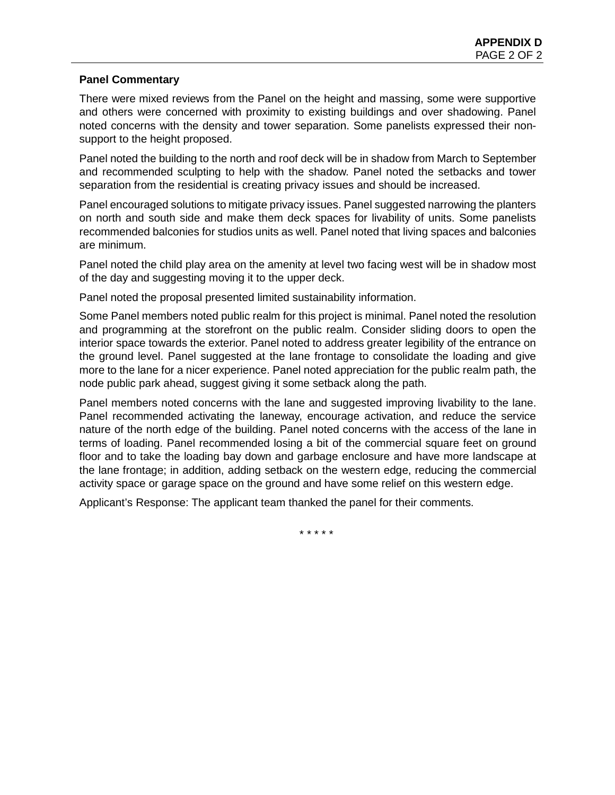### **Panel Commentary**

There were mixed reviews from the Panel on the height and massing, some were supportive and others were concerned with proximity to existing buildings and over shadowing. Panel noted concerns with the density and tower separation. Some panelists expressed their nonsupport to the height proposed.

Panel noted the building to the north and roof deck will be in shadow from March to September and recommended sculpting to help with the shadow. Panel noted the setbacks and tower separation from the residential is creating privacy issues and should be increased.

Panel encouraged solutions to mitigate privacy issues. Panel suggested narrowing the planters on north and south side and make them deck spaces for livability of units. Some panelists recommended balconies for studios units as well. Panel noted that living spaces and balconies are minimum.

Panel noted the child play area on the amenity at level two facing west will be in shadow most of the day and suggesting moving it to the upper deck.

Panel noted the proposal presented limited sustainability information.

Some Panel members noted public realm for this project is minimal. Panel noted the resolution and programming at the storefront on the public realm. Consider sliding doors to open the interior space towards the exterior. Panel noted to address greater legibility of the entrance on the ground level. Panel suggested at the lane frontage to consolidate the loading and give more to the lane for a nicer experience. Panel noted appreciation for the public realm path, the node public park ahead, suggest giving it some setback along the path.

Panel members noted concerns with the lane and suggested improving livability to the lane. Panel recommended activating the laneway, encourage activation, and reduce the service nature of the north edge of the building. Panel noted concerns with the access of the lane in terms of loading. Panel recommended losing a bit of the commercial square feet on ground floor and to take the loading bay down and garbage enclosure and have more landscape at the lane frontage; in addition, adding setback on the western edge, reducing the commercial activity space or garage space on the ground and have some relief on this western edge.

Applicant's Response: The applicant team thanked the panel for their comments.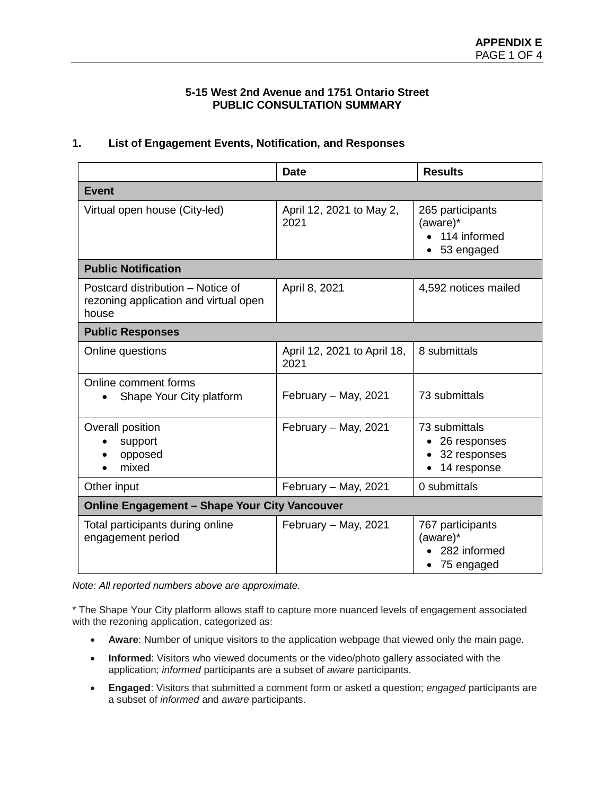### **5-15 West 2nd Avenue and 1751 Ontario Street PUBLIC CONSULTATION SUMMARY**

# **1. List of Engagement Events, Notification, and Responses**

|                                                                                     | <b>Date</b>                         | <b>Results</b>                                               |  |  |
|-------------------------------------------------------------------------------------|-------------------------------------|--------------------------------------------------------------|--|--|
| <b>Event</b>                                                                        |                                     |                                                              |  |  |
| Virtual open house (City-led)                                                       | April 12, 2021 to May 2,<br>2021    | 265 participants<br>(aware)*<br>• 114 informed<br>53 engaged |  |  |
| <b>Public Notification</b>                                                          |                                     |                                                              |  |  |
| Postcard distribution – Notice of<br>rezoning application and virtual open<br>house | April 8, 2021                       | 4,592 notices mailed                                         |  |  |
| <b>Public Responses</b>                                                             |                                     |                                                              |  |  |
| Online questions                                                                    | April 12, 2021 to April 18,<br>2021 | 8 submittals                                                 |  |  |
| Online comment forms<br>Shape Your City platform                                    | February - May, 2021                | 73 submittals                                                |  |  |
| Overall position<br>support<br>opposed<br>mixed                                     | February - May, 2021                | 73 submittals<br>26 responses<br>32 responses<br>14 response |  |  |
| Other input                                                                         | February - May, 2021                | 0 submittals                                                 |  |  |
| <b>Online Engagement - Shape Your City Vancouver</b>                                |                                     |                                                              |  |  |
| Total participants during online<br>engagement period                               | February - May, 2021                | 767 participants<br>(aware)*<br>282 informed<br>75 engaged   |  |  |

*Note: All reported numbers above are approximate.*

\* The Shape Your City platform allows staff to capture more nuanced levels of engagement associated with the rezoning application, categorized as:

- **Aware**: Number of unique visitors to the application webpage that viewed only the main page.
- **Informed**: Visitors who viewed documents or the video/photo gallery associated with the application; *informed* participants are a subset of *aware* participants.
- **Engaged**: Visitors that submitted a comment form or asked a question; *engaged* participants are a subset of *informed* and *aware* participants.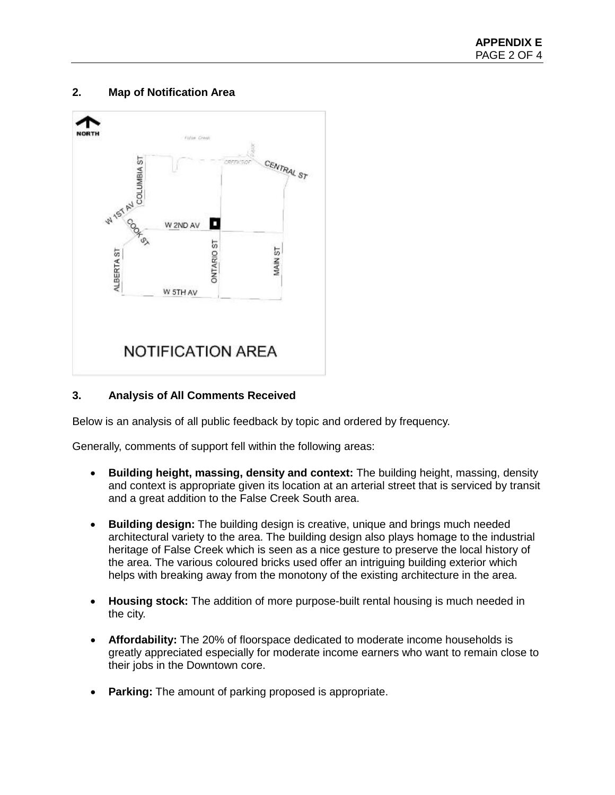# **2. Map of Notification Area**



# **3. Analysis of All Comments Received**

Below is an analysis of all public feedback by topic and ordered by frequency.

Generally, comments of support fell within the following areas:

- **Building height, massing, density and context:** The building height, massing, density and context is appropriate given its location at an arterial street that is serviced by transit and a great addition to the False Creek South area.
- **Building design:** The building design is creative, unique and brings much needed architectural variety to the area. The building design also plays homage to the industrial heritage of False Creek which is seen as a nice gesture to preserve the local history of the area. The various coloured bricks used offer an intriguing building exterior which helps with breaking away from the monotony of the existing architecture in the area.
- **Housing stock:** The addition of more purpose-built rental housing is much needed in the city.
- **Affordability:** The 20% of floorspace dedicated to moderate income households is greatly appreciated especially for moderate income earners who want to remain close to their jobs in the Downtown core.
- **Parking:** The amount of parking proposed is appropriate.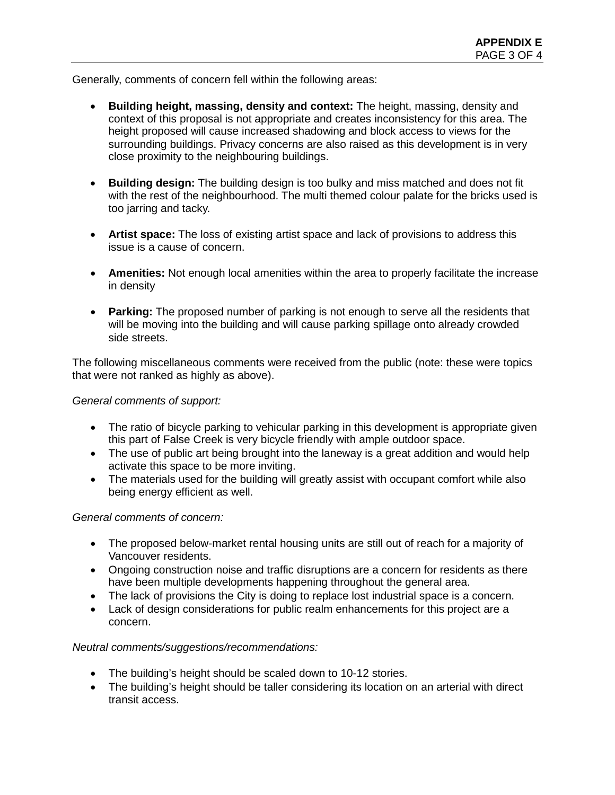Generally, comments of concern fell within the following areas:

- **Building height, massing, density and context:** The height, massing, density and context of this proposal is not appropriate and creates inconsistency for this area. The height proposed will cause increased shadowing and block access to views for the surrounding buildings. Privacy concerns are also raised as this development is in very close proximity to the neighbouring buildings.
- **Building design:** The building design is too bulky and miss matched and does not fit with the rest of the neighbourhood. The multi themed colour palate for the bricks used is too jarring and tacky.
- **Artist space:** The loss of existing artist space and lack of provisions to address this issue is a cause of concern.
- **Amenities:** Not enough local amenities within the area to properly facilitate the increase in density
- **Parking:** The proposed number of parking is not enough to serve all the residents that will be moving into the building and will cause parking spillage onto already crowded side streets.

The following miscellaneous comments were received from the public (note: these were topics that were not ranked as highly as above).

*General comments of support:*

- The ratio of bicycle parking to vehicular parking in this development is appropriate given this part of False Creek is very bicycle friendly with ample outdoor space.
- The use of public art being brought into the laneway is a great addition and would help activate this space to be more inviting.
- The materials used for the building will greatly assist with occupant comfort while also being energy efficient as well.

*General comments of concern:*

- The proposed below-market rental housing units are still out of reach for a majority of Vancouver residents.
- Ongoing construction noise and traffic disruptions are a concern for residents as there have been multiple developments happening throughout the general area.
- The lack of provisions the City is doing to replace lost industrial space is a concern.
- Lack of design considerations for public realm enhancements for this project are a concern.

# *Neutral comments/suggestions/recommendations:*

- The building's height should be scaled down to 10-12 stories.
- The building's height should be taller considering its location on an arterial with direct transit access.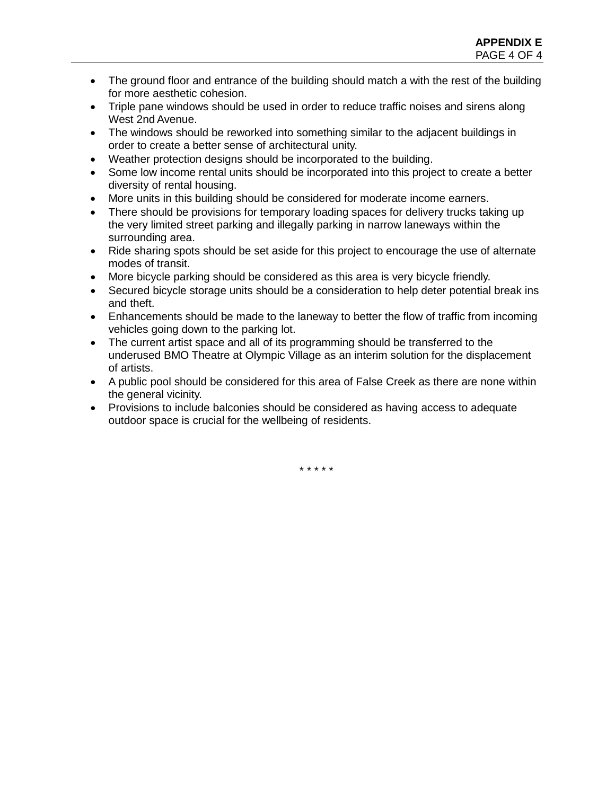- The ground floor and entrance of the building should match a with the rest of the building for more aesthetic cohesion.
- Triple pane windows should be used in order to reduce traffic noises and sirens along West 2nd Avenue.
- The windows should be reworked into something similar to the adjacent buildings in order to create a better sense of architectural unity.
- Weather protection designs should be incorporated to the building.
- Some low income rental units should be incorporated into this project to create a better diversity of rental housing.
- More units in this building should be considered for moderate income earners.
- There should be provisions for temporary loading spaces for delivery trucks taking up the very limited street parking and illegally parking in narrow laneways within the surrounding area.
- Ride sharing spots should be set aside for this project to encourage the use of alternate modes of transit.
- More bicycle parking should be considered as this area is very bicycle friendly.
- Secured bicycle storage units should be a consideration to help deter potential break ins and theft.
- Enhancements should be made to the laneway to better the flow of traffic from incoming vehicles going down to the parking lot.
- The current artist space and all of its programming should be transferred to the underused BMO Theatre at Olympic Village as an interim solution for the displacement of artists.
- A public pool should be considered for this area of False Creek as there are none within the general vicinity.
- Provisions to include balconies should be considered as having access to adequate outdoor space is crucial for the wellbeing of residents.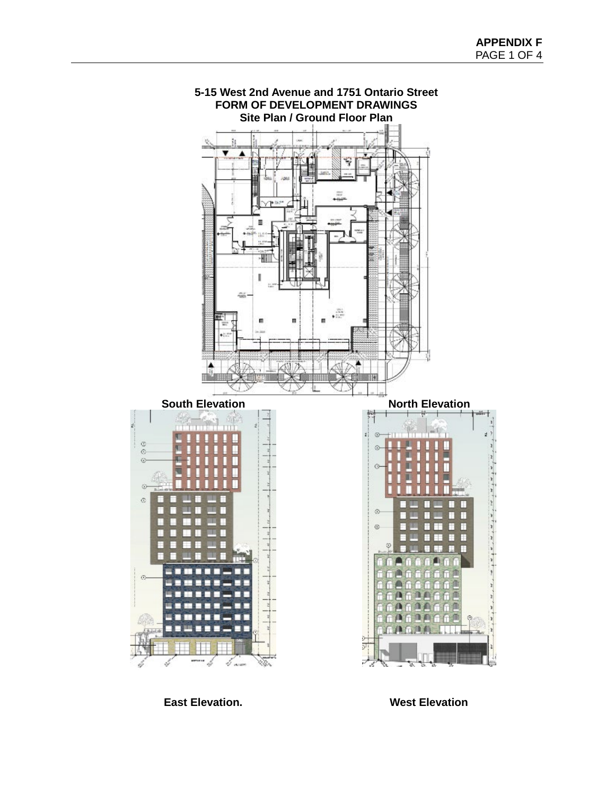

**East Elevation. West Elevation**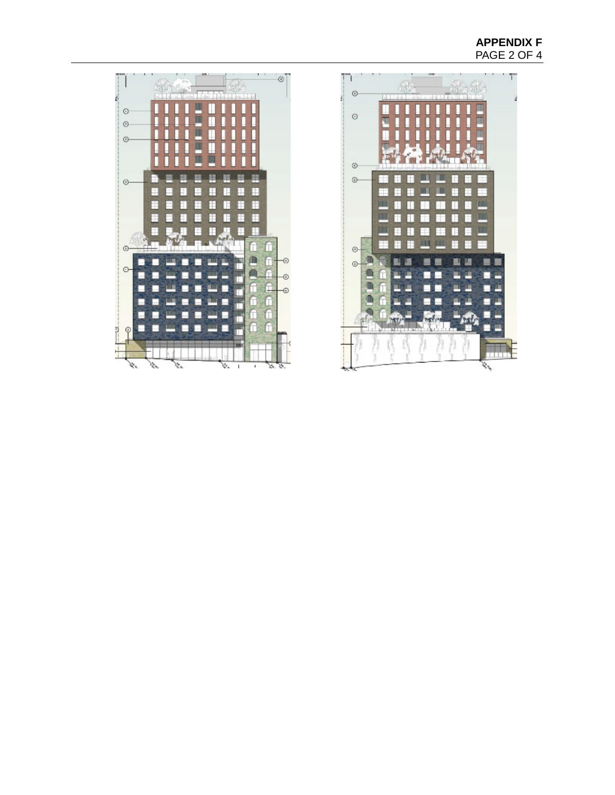# **APPENDIX F**  PAGE 2 OF 4



 $\circ$ 

 $\circ$ 

 $\circ$ 

 $\circ$ 

 $\odot$ 

 $\odot$ 

켵  $\varphi$  п

Е

Е

о

п г

 $\mathcal{G}$ 

it s

П

Е

÷

F

E

E

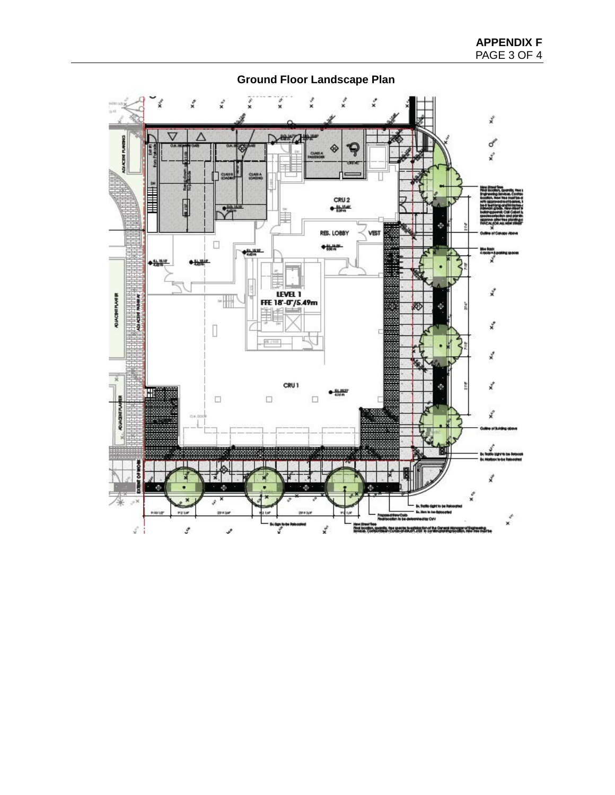

**Ground Floor Landscape Plan**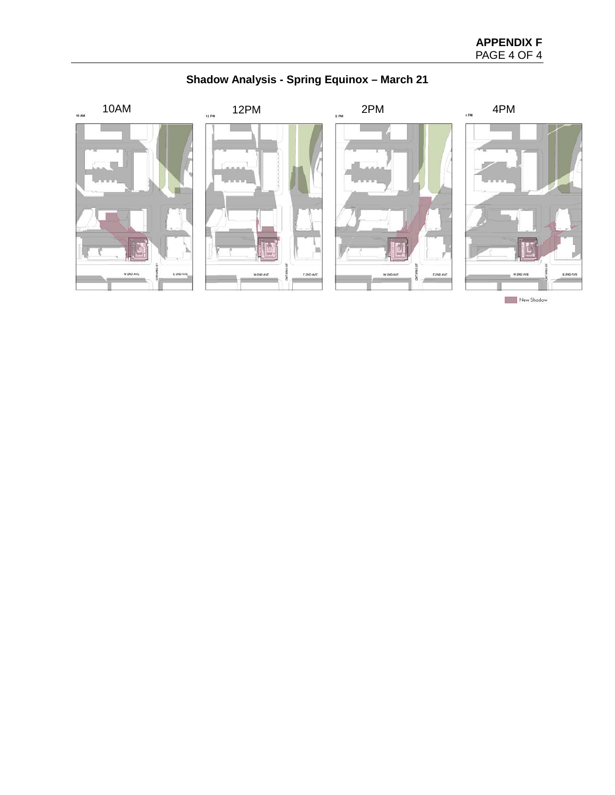# **APPENDIX F**  PAGE 4 OF 4

# **Shadow Analysis - Spring Equinox – March 21**

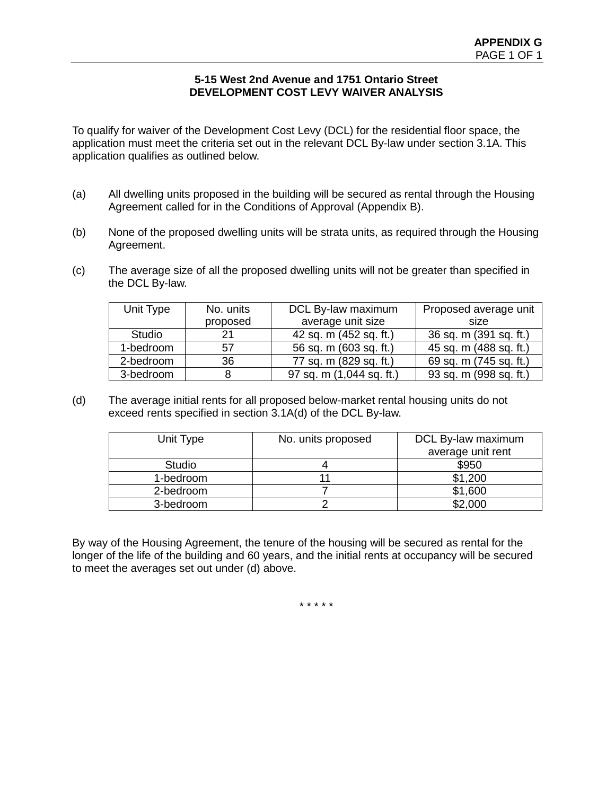### **5-15 West 2nd Avenue and 1751 Ontario Street DEVELOPMENT COST LEVY WAIVER ANALYSIS**

To qualify for waiver of the Development Cost Levy (DCL) for the residential floor space, the application must meet the criteria set out in the relevant DCL By-law under section 3.1A. This application qualifies as outlined below.

- (a) All dwelling units proposed in the building will be secured as rental through the Housing Agreement called for in the Conditions of Approval (Appendix B).
- (b) None of the proposed dwelling units will be strata units, as required through the Housing Agreement.
- (c) The average size of all the proposed dwelling units will not be greater than specified in the DCL By-law.

| Unit Type | No. units | DCL By-law maximum       | Proposed average unit  |
|-----------|-----------|--------------------------|------------------------|
|           | proposed  | average unit size        | size                   |
| Studio    | 21        | 42 sq. m (452 sq. ft.)   | 36 sq. m (391 sq. ft.) |
| 1-bedroom | 57        | 56 sq. m (603 sq. ft.)   | 45 sq. m (488 sq. ft.) |
| 2-bedroom | 36        | 77 sq. m (829 sq. ft.)   | 69 sq. m (745 sq. ft.) |
| 3-bedroom |           | 97 sq. m (1,044 sq. ft.) | 93 sq. m (998 sq. ft.) |

(d) The average initial rents for all proposed below-market rental housing units do not exceed rents specified in section 3.1A(d) of the DCL By-law.

| Unit Type     | No. units proposed | DCL By-law maximum |
|---------------|--------------------|--------------------|
|               |                    | average unit rent  |
| <b>Studio</b> |                    | \$950              |
| 1-bedroom     |                    | \$1,200            |
| 2-bedroom     |                    | \$1,600            |
| 3-bedroom     |                    | \$2,000            |

By way of the Housing Agreement, the tenure of the housing will be secured as rental for the longer of the life of the building and 60 years, and the initial rents at occupancy will be secured to meet the averages set out under (d) above.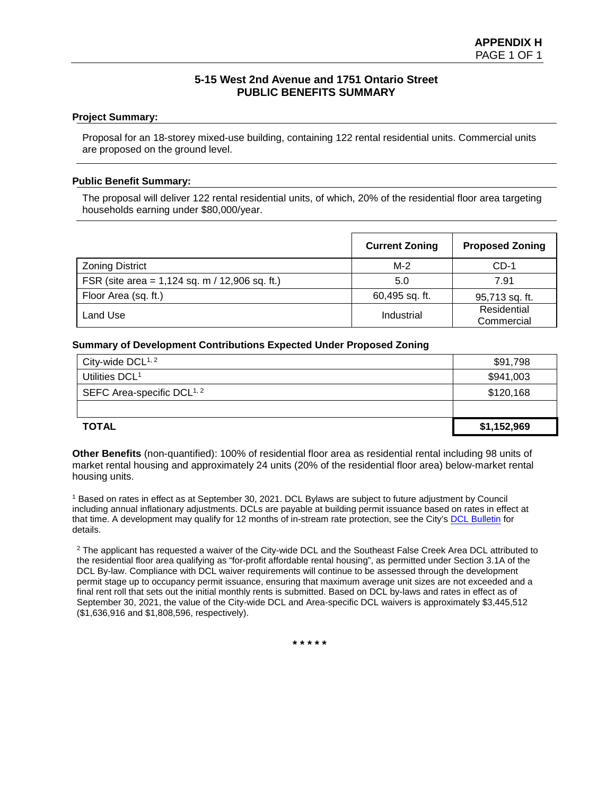### **5-15 West 2nd Avenue and 1751 Ontario Street PUBLIC BENEFITS SUMMARY**

#### **Project Summary:**

Proposal for an 18-storey mixed-use building, containing 122 rental residential units. Commercial units are proposed on the ground level.

#### **Public Benefit Summary:**

The proposal will deliver 122 rental residential units, of which, 20% of the residential floor area targeting households earning under \$80,000/year.

|                                                  | <b>Current Zoning</b> | <b>Proposed Zoning</b>    |
|--------------------------------------------------|-----------------------|---------------------------|
| <b>Zoning District</b>                           | $M-2$                 | $CD-1$                    |
| FSR (site area = $1,124$ sq. m / 12,906 sq. ft.) | 5.0                   | 7.91                      |
| Floor Area (sq. ft.)                             | 60,495 sq. ft.        | 95,713 sq. ft.            |
| Land Use                                         | Industrial            | Residential<br>Commercial |

#### **Summary of Development Contributions Expected Under Proposed Zoning**

| City-wide $DCL^{1, 2}$                 | \$91,798    |
|----------------------------------------|-------------|
| Utilities DCL <sup>1</sup>             | \$941,003   |
| SEFC Area-specific DCL <sup>1, 2</sup> | \$120,168   |
|                                        |             |
| <b>TOTAL</b>                           | \$1,152,969 |

**Other Benefits** (non-quantified): 100% of residential floor area as residential rental including 98 units of market rental housing and approximately 24 units (20% of the residential floor area) below-market rental housing units.

<sup>1</sup> Based on rates in effect as at September 30, 2021. DCL Bylaws are subject to future adjustment by Council including annual inflationary adjustments. DCLs are payable at building permit issuance based on rates in effect at that time. A development may qualify for 12 months of in-stream rate protection, see the City'[s DCL Bulletin](http://vancouver.ca/files/cov/Development-Cost-Levies-Bulletin.pdf) for details.

<sup>2</sup> The applicant has requested a waiver of the City-wide DCL and the Southeast False Creek Area DCL attributed to the residential floor area qualifying as "for-profit affordable rental housing", as permitted under Section 3.1A of the DCL By-law. Compliance with DCL waiver requirements will continue to be assessed through the development permit stage up to occupancy permit issuance, ensuring that maximum average unit sizes are not exceeded and a final rent roll that sets out the initial monthly rents is submitted. Based on DCL by-laws and rates in effect as of September 30, 2021, the value of the City-wide DCL and Area-specific DCL waivers is approximately \$3,445,512 (\$1,636,916 and \$1,808,596, respectively).